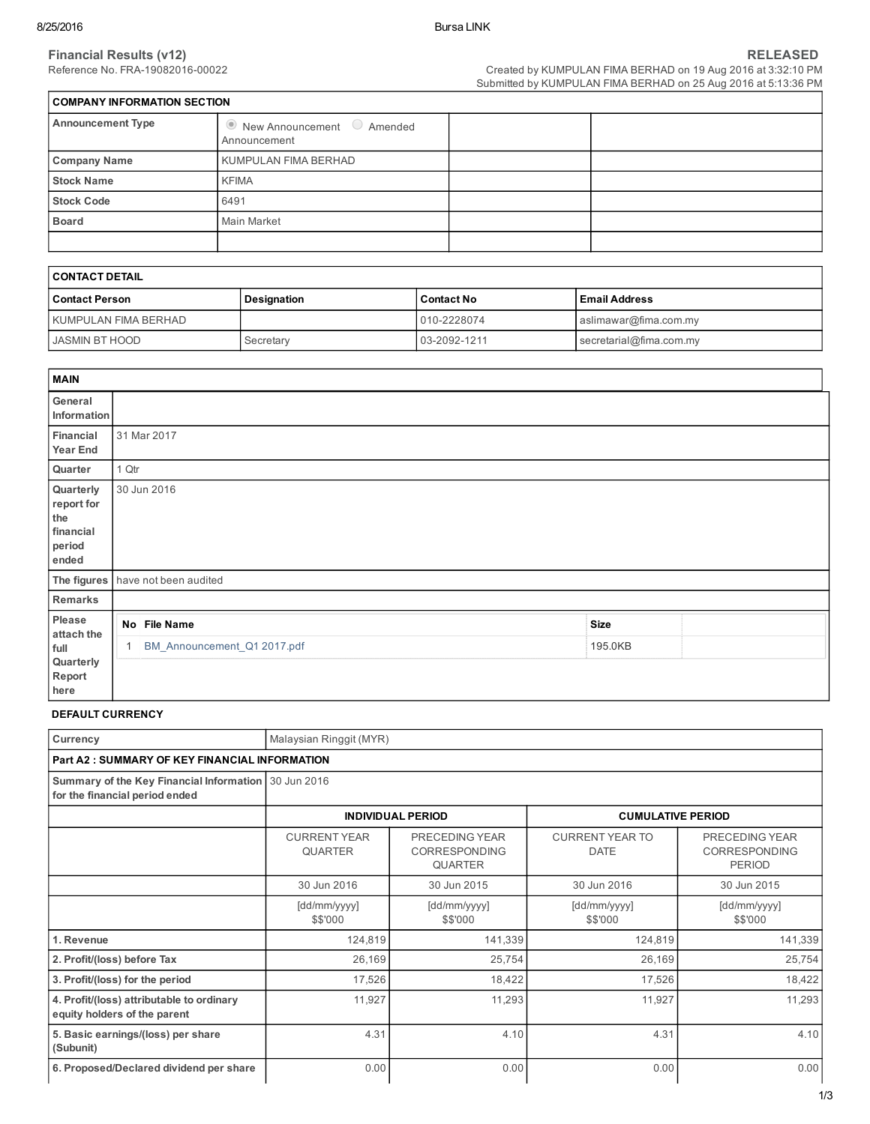$\mathbf{r}$ 

| COMPANY INFORMATION SECTION |                                                              |  |  |  |  |  |
|-----------------------------|--------------------------------------------------------------|--|--|--|--|--|
| <b>Announcement Type</b>    | $\bullet$ New Announcement $\bullet$ Amended<br>Announcement |  |  |  |  |  |
| <b>Company Name</b>         | KUMPULAN FIMA BERHAD                                         |  |  |  |  |  |
| <b>Stock Name</b>           | <b>KFIMA</b>                                                 |  |  |  |  |  |
| <b>Stock Code</b>           | 6491                                                         |  |  |  |  |  |
| <b>Board</b>                | Main Market                                                  |  |  |  |  |  |
|                             |                                                              |  |  |  |  |  |

| I CONTACT DETAIL     |             |                   |                         |  |  |
|----------------------|-------------|-------------------|-------------------------|--|--|
| l Contact Person     | Designation | <b>Contact No</b> | l Email Address         |  |  |
| KUMPULAN FIMA BERHAD |             | 010-2228074       | aslimawar@fima.com.my   |  |  |
| JASMIN BT HOOD       | Secretary   | 03-2092-1211      | secretarial@fima.com.my |  |  |

| <b>MAIN</b>                                                    |                             |             |  |
|----------------------------------------------------------------|-----------------------------|-------------|--|
| General<br>Information                                         |                             |             |  |
| Financial<br>Year End                                          | 31 Mar 2017                 |             |  |
| Quarter                                                        | 1 Qtr                       |             |  |
| Quarterly<br>report for<br>the<br>financial<br>period<br>ended | 30 Jun 2016                 |             |  |
| The figures                                                    | have not been audited       |             |  |
| Remarks                                                        |                             |             |  |
| Please<br>attach the                                           | No File Name                | <b>Size</b> |  |
| full<br>Quarterly<br>Report<br>here                            | BM_Announcement_Q1 2017.pdf | 195.0KB     |  |

# DEFAULT CURRENCY

| Currency                                                                               | Malaysian Ringgit (MYR)               |                                                   |                                       |                                                         |  |  |  |  |  |
|----------------------------------------------------------------------------------------|---------------------------------------|---------------------------------------------------|---------------------------------------|---------------------------------------------------------|--|--|--|--|--|
| <b>Part A2: SUMMARY OF KEY FINANCIAL INFORMATION</b>                                   |                                       |                                                   |                                       |                                                         |  |  |  |  |  |
| Summary of the Key Financial Information 30 Jun 2016<br>for the financial period ended |                                       |                                                   |                                       |                                                         |  |  |  |  |  |
|                                                                                        |                                       | <b>INDIVIDUAL PERIOD</b>                          | <b>CUMULATIVE PERIOD</b>              |                                                         |  |  |  |  |  |
|                                                                                        | <b>CURRENT YEAR</b><br><b>QUARTER</b> | PRECEDING YEAR<br>CORRESPONDING<br><b>QUARTER</b> | <b>CURRENT YEAR TO</b><br><b>DATE</b> | PRECEDING YEAR<br><b>CORRESPONDING</b><br><b>PERIOD</b> |  |  |  |  |  |
|                                                                                        | 30 Jun 2016                           | 30 Jun 2015                                       | 30 Jun 2016                           | 30 Jun 2015                                             |  |  |  |  |  |
|                                                                                        | [dd/mm/yyyy]<br>\$\$'000              | [dd/mm/yyyy]<br>\$\$'000                          | [dd/mm/yyyy]<br>\$\$'000              | [dd/mm/yyyy]<br>\$\$'000                                |  |  |  |  |  |
| 1. Revenue                                                                             | 124,819                               | 141,339                                           | 124,819                               | 141,339                                                 |  |  |  |  |  |
| 2. Profit/(loss) before Tax                                                            | 26,169                                | 25,754                                            | 26,169                                | 25,754                                                  |  |  |  |  |  |
| 3. Profit/(loss) for the period                                                        | 17,526                                | 18,422                                            | 17,526                                | 18,422                                                  |  |  |  |  |  |
| 4. Profit/(loss) attributable to ordinary<br>equity holders of the parent              | 11,927                                | 11,293                                            | 11,927                                | 11,293                                                  |  |  |  |  |  |
| 5. Basic earnings/(loss) per share<br>(Subunit)                                        | 4.31                                  | 4.10                                              | 4.31                                  | 4.10                                                    |  |  |  |  |  |
| 6. Proposed/Declared dividend per share                                                | 0.00                                  | 0.00                                              | 0.00                                  | 0.00                                                    |  |  |  |  |  |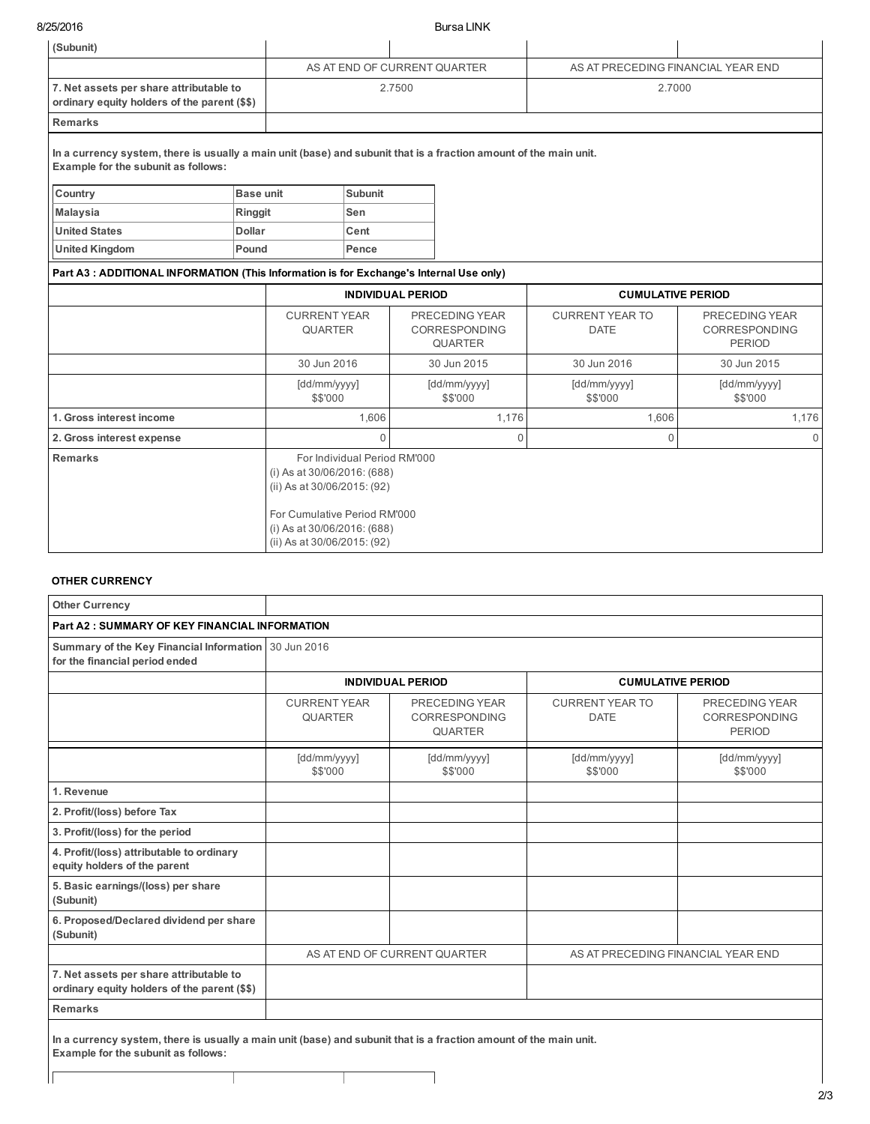8/25/2016 Bursa LINK

| (Subunit)                                                                                                                                                |               |                                                                                                                                                                                          |                |        |                                                          |                                       |                                                         |  |
|----------------------------------------------------------------------------------------------------------------------------------------------------------|---------------|------------------------------------------------------------------------------------------------------------------------------------------------------------------------------------------|----------------|--------|----------------------------------------------------------|---------------------------------------|---------------------------------------------------------|--|
|                                                                                                                                                          |               | AS AT END OF CURRENT QUARTER                                                                                                                                                             |                |        |                                                          | AS AT PRECEDING FINANCIAL YEAR END    |                                                         |  |
| 7. Net assets per share attributable to<br>ordinary equity holders of the parent (\$\$)                                                                  |               |                                                                                                                                                                                          |                | 2.7500 |                                                          | 2.7000                                |                                                         |  |
| <b>Remarks</b>                                                                                                                                           |               |                                                                                                                                                                                          |                |        |                                                          |                                       |                                                         |  |
| In a currency system, there is usually a main unit (base) and subunit that is a fraction amount of the main unit.<br>Example for the subunit as follows: |               |                                                                                                                                                                                          |                |        |                                                          |                                       |                                                         |  |
| Country                                                                                                                                                  | Base unit     |                                                                                                                                                                                          | <b>Subunit</b> |        |                                                          |                                       |                                                         |  |
| <b>Malaysia</b>                                                                                                                                          | Ringgit       |                                                                                                                                                                                          | Sen            |        |                                                          |                                       |                                                         |  |
| <b>United States</b>                                                                                                                                     | <b>Dollar</b> |                                                                                                                                                                                          | Cent           |        |                                                          |                                       |                                                         |  |
| <b>United Kingdom</b>                                                                                                                                    | Pound         |                                                                                                                                                                                          | Pence          |        |                                                          |                                       |                                                         |  |
| Part A3: ADDITIONAL INFORMATION (This Information is for Exchange's Internal Use only)                                                                   |               |                                                                                                                                                                                          |                |        |                                                          |                                       |                                                         |  |
|                                                                                                                                                          |               | <b>INDIVIDUAL PERIOD</b>                                                                                                                                                                 |                |        |                                                          | <b>CUMULATIVE PERIOD</b>              |                                                         |  |
|                                                                                                                                                          |               | <b>CURRENT YEAR</b><br><b>QUARTER</b>                                                                                                                                                    |                |        | PRECEDING YEAR<br><b>CORRESPONDING</b><br><b>QUARTER</b> | <b>CURRENT YEAR TO</b><br><b>DATE</b> | PRECEDING YEAR<br><b>CORRESPONDING</b><br><b>PERIOD</b> |  |
|                                                                                                                                                          |               | 30 Jun 2016                                                                                                                                                                              |                |        | 30 Jun 2015                                              | 30 Jun 2016                           | 30 Jun 2015                                             |  |
|                                                                                                                                                          |               | [dd/mm/yyyy]<br>\$\$'000                                                                                                                                                                 |                |        | [dd/mm/yyyy]<br>\$\$'000                                 | [dd/mm/yyyy]<br>\$\$'000              | [dd/mm/yyyy]<br>\$\$'000                                |  |
| 1. Gross interest income                                                                                                                                 |               |                                                                                                                                                                                          | 1,606          |        | 1,176                                                    | 1,606                                 | 1,176                                                   |  |
| 2. Gross interest expense                                                                                                                                |               |                                                                                                                                                                                          | $\Omega$       |        | $\Omega$<br>$\Omega$                                     |                                       |                                                         |  |
| <b>Remarks</b>                                                                                                                                           |               | For Individual Period RM'000<br>(i) As at 30/06/2016: (688)<br>(ii) As at 30/06/2015: (92)<br>For Cumulative Period RM'000<br>(i) As at 30/06/2016: (688)<br>(ii) As at 30/06/2015: (92) |                |        |                                                          |                                       |                                                         |  |

# OTHER CURRENCY

| <b>Other Currency</b>                                                                                                                                    |                                       |                                                          |                                       |                                                  |
|----------------------------------------------------------------------------------------------------------------------------------------------------------|---------------------------------------|----------------------------------------------------------|---------------------------------------|--------------------------------------------------|
| <b>Part A2: SUMMARY OF KEY FINANCIAL INFORMATION</b>                                                                                                     |                                       |                                                          |                                       |                                                  |
| Summary of the Key Financial Information 30 Jun 2016<br>for the financial period ended                                                                   |                                       |                                                          |                                       |                                                  |
|                                                                                                                                                          |                                       | <b>INDIVIDUAL PERIOD</b>                                 | <b>CUMULATIVE PERIOD</b>              |                                                  |
|                                                                                                                                                          | <b>CURRENT YEAR</b><br><b>QUARTER</b> | PRECEDING YEAR<br><b>CORRESPONDING</b><br><b>QUARTER</b> | <b>CURRENT YEAR TO</b><br><b>DATE</b> | PRECEDING YEAR<br>CORRESPONDING<br><b>PERIOD</b> |
|                                                                                                                                                          | [dd/mm/yyyy]<br>\$\$'000              | [dd/mm/yyyy]<br>\$\$'000                                 | [dd/mm/yyyy]<br>\$\$'000              | [dd/mm/yyyy]<br>\$\$'000                         |
| 1. Revenue                                                                                                                                               |                                       |                                                          |                                       |                                                  |
| 2. Profit/(loss) before Tax                                                                                                                              |                                       |                                                          |                                       |                                                  |
| 3. Profit/(loss) for the period                                                                                                                          |                                       |                                                          |                                       |                                                  |
| 4. Profit/(loss) attributable to ordinary<br>equity holders of the parent                                                                                |                                       |                                                          |                                       |                                                  |
| 5. Basic earnings/(loss) per share<br>(Subunit)                                                                                                          |                                       |                                                          |                                       |                                                  |
| 6. Proposed/Declared dividend per share<br>(Subunit)                                                                                                     |                                       |                                                          |                                       |                                                  |
|                                                                                                                                                          |                                       | AS AT END OF CURRENT QUARTER                             | AS AT PRECEDING FINANCIAL YEAR END    |                                                  |
| 7. Net assets per share attributable to<br>ordinary equity holders of the parent (\$\$)                                                                  |                                       |                                                          |                                       |                                                  |
| <b>Remarks</b>                                                                                                                                           |                                       |                                                          |                                       |                                                  |
| In a currency system, there is usually a main unit (base) and subunit that is a fraction amount of the main unit.<br>Example for the subunit as follows: |                                       |                                                          |                                       |                                                  |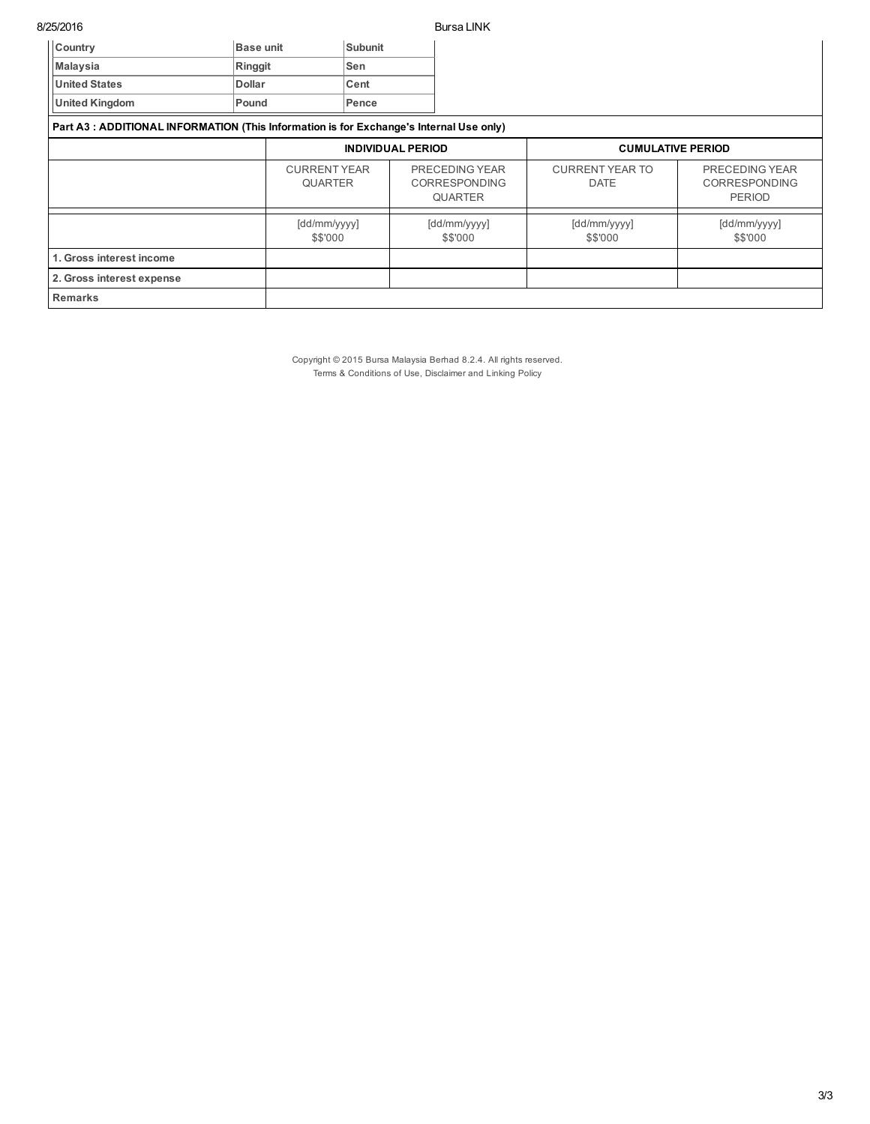8/25/2016 Bursa LINK

| Country                                                                                 | <b>Base unit</b> | <b>Subunit</b>                        |  |                                                          |                                       |                                                         |
|-----------------------------------------------------------------------------------------|------------------|---------------------------------------|--|----------------------------------------------------------|---------------------------------------|---------------------------------------------------------|
| <b>Malaysia</b>                                                                         | Ringgit          | Sen                                   |  |                                                          |                                       |                                                         |
| <b>United States</b>                                                                    | <b>Dollar</b>    | Cent                                  |  |                                                          |                                       |                                                         |
| <b>United Kingdom</b>                                                                   | Pound            | Pence                                 |  |                                                          |                                       |                                                         |
| Part A3 : ADDITIONAL INFORMATION (This Information is for Exchange's Internal Use only) |                  |                                       |  |                                                          |                                       |                                                         |
|                                                                                         |                  | <b>INDIVIDUAL PERIOD</b>              |  | <b>CUMULATIVE PERIOD</b>                                 |                                       |                                                         |
|                                                                                         |                  | <b>CURRENT YEAR</b><br><b>QUARTER</b> |  | PRECEDING YEAR<br><b>CORRESPONDING</b><br><b>QUARTER</b> | <b>CURRENT YEAR TO</b><br><b>DATE</b> | PRECEDING YEAR<br><b>CORRESPONDING</b><br><b>PERIOD</b> |
|                                                                                         |                  | [dd/mm/yyyy]<br>\$\$'000              |  | [dd/mm/yyyy]<br>\$\$'000                                 | [dd/mm/yyyy]<br>\$\$'000              | [dd/mm/yyyy]<br>\$\$'000                                |
| 1. Gross interest income                                                                |                  |                                       |  |                                                          |                                       |                                                         |
| 2. Gross interest expense                                                               |                  |                                       |  |                                                          |                                       |                                                         |
| <b>Remarks</b>                                                                          |                  |                                       |  |                                                          |                                       |                                                         |

Copyright © 2015 Bursa Malaysia Berhad 8.2.4. All rights reserved. Terms & Conditions of Use, Disclaimer and Linking Policy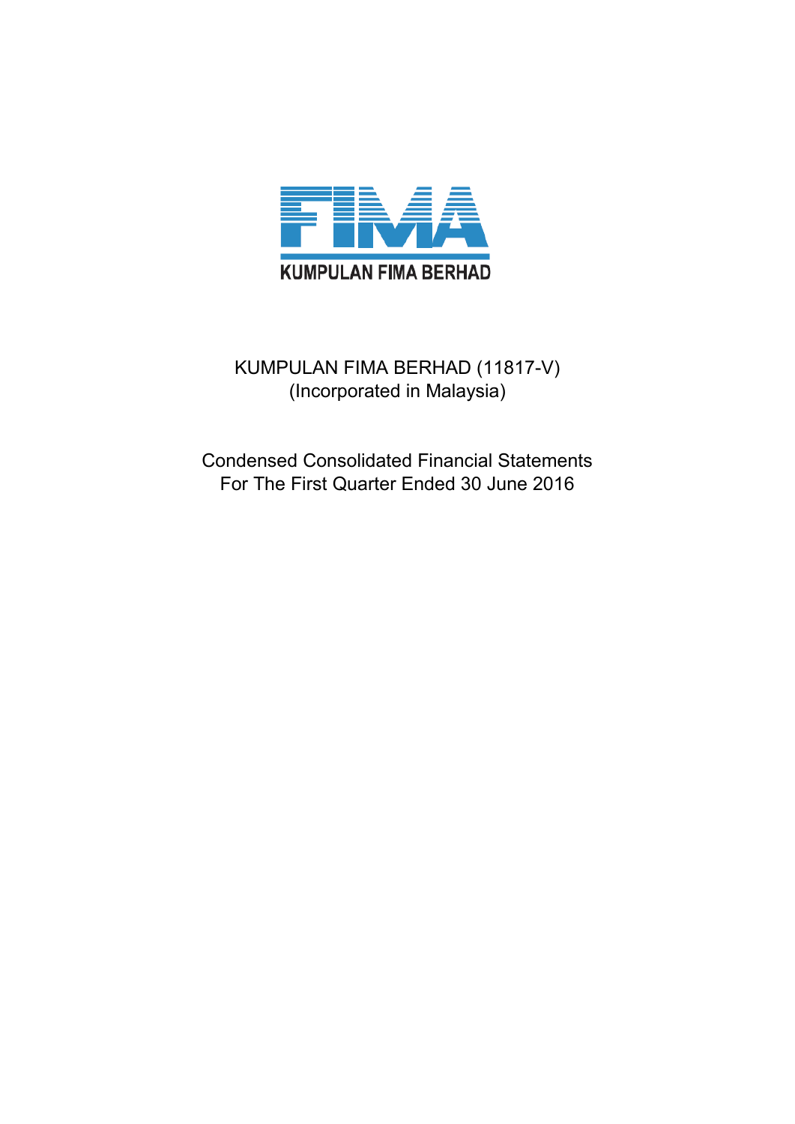

# KUMPULAN FIMA BERHAD (11817-V) (Incorporated in Malaysia)

Condensed Consolidated Financial Statements For The First Quarter Ended 30 June 2016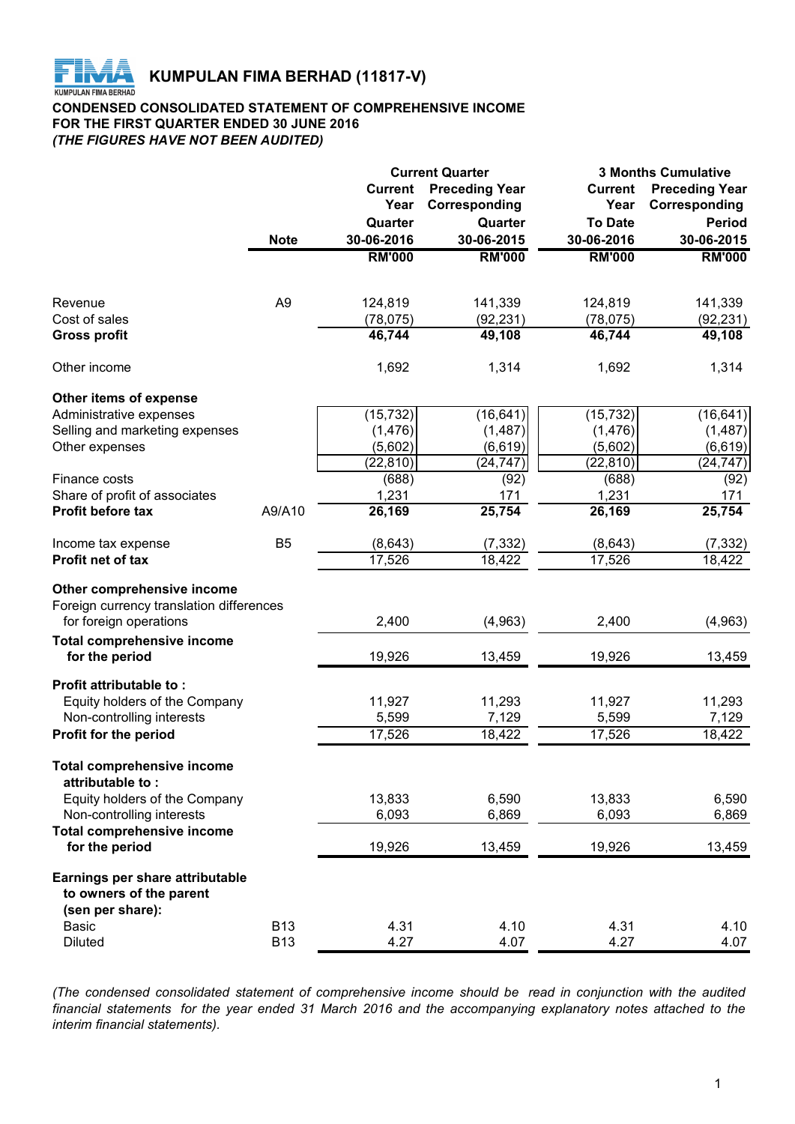

# **CONDENSED CONSOLIDATED STATEMENT OF COMPREHENSIVE INCOME FOR THE FIRST QUARTER ENDED 30 JUNE 2016** *(THE FIGURES HAVE NOT BEEN AUDITED)*

|                                                     |                |                | <b>Current Quarter</b> | <b>3 Months Cumulative</b> |                       |  |
|-----------------------------------------------------|----------------|----------------|------------------------|----------------------------|-----------------------|--|
|                                                     |                | <b>Current</b> | <b>Preceding Year</b>  | <b>Current</b>             | <b>Preceding Year</b> |  |
|                                                     |                | Year           | Corresponding          | Year                       | Corresponding         |  |
|                                                     |                | Quarter        | Quarter                | <b>To Date</b>             | <b>Period</b>         |  |
|                                                     | <b>Note</b>    | 30-06-2016     | 30-06-2015             | 30-06-2016                 | 30-06-2015            |  |
|                                                     |                | <b>RM'000</b>  | <b>RM'000</b>          | <b>RM'000</b>              | <b>RM'000</b>         |  |
|                                                     |                |                |                        |                            |                       |  |
| Revenue                                             | A <sub>9</sub> | 124,819        | 141,339                | 124,819                    | 141,339               |  |
| Cost of sales                                       |                | (78, 075)      | (92, 231)              | (78, 075)                  | (92, 231)             |  |
| <b>Gross profit</b>                                 |                | 46,744         | 49,108                 | 46,744                     | 49,108                |  |
| Other income                                        |                | 1,692          | 1,314                  | 1,692                      | 1,314                 |  |
| Other items of expense                              |                |                |                        |                            |                       |  |
| Administrative expenses                             |                | (15, 732)      | (16, 641)              | (15, 732)                  | (16, 641)             |  |
| Selling and marketing expenses                      |                | (1, 476)       | (1, 487)               | (1, 476)                   | (1, 487)              |  |
| Other expenses                                      |                | (5,602)        | (6, 619)               | (5,602)                    | (6, 619)              |  |
|                                                     |                | (22, 810)      | (24, 747)              | (22, 810)                  | (24, 747)             |  |
| Finance costs                                       |                | (688)          | (92)                   | (688)                      | (92)                  |  |
| Share of profit of associates                       |                | 1,231          | 171                    | 1,231                      | 171                   |  |
| Profit before tax                                   | A9/A10         | 26,169         | 25,754                 | 26,169                     | 25,754                |  |
| Income tax expense                                  | B <sub>5</sub> | (8,643)        | (7, 332)               | (8,643)                    | (7, 332)              |  |
| Profit net of tax                                   |                | 17,526         | 18,422                 | 17,526                     | 18,422                |  |
| Other comprehensive income                          |                |                |                        |                            |                       |  |
| Foreign currency translation differences            |                |                |                        |                            |                       |  |
| for foreign operations                              |                | 2,400          | (4,963)                | 2,400                      | (4,963)               |  |
| <b>Total comprehensive income</b>                   |                |                |                        |                            |                       |  |
| for the period                                      |                | 19,926         | 13,459                 | 19,926                     | 13,459                |  |
| <b>Profit attributable to:</b>                      |                |                |                        |                            |                       |  |
| Equity holders of the Company                       |                | 11,927         | 11,293                 | 11,927                     | 11,293                |  |
| Non-controlling interests                           |                | 5,599          | 7,129                  | 5,599                      | 7,129                 |  |
| Profit for the period                               |                | 17,526         | 18,422                 | 17,526                     | 18,422                |  |
| <b>Total comprehensive income</b>                   |                |                |                        |                            |                       |  |
| attributable to:<br>Equity holders of the Company   |                | 13,833         |                        |                            |                       |  |
|                                                     |                |                | 6,590                  | 13,833                     | 6,590                 |  |
| Non-controlling interests                           |                | 6,093          | 6,869                  | 6,093                      | 6,869                 |  |
| <b>Total comprehensive income</b><br>for the period |                | 19,926         | 13,459                 | 19,926                     | 13,459                |  |
| Earnings per share attributable                     |                |                |                        |                            |                       |  |
| to owners of the parent                             |                |                |                        |                            |                       |  |
| (sen per share):                                    |                |                |                        |                            |                       |  |
| <b>Basic</b>                                        | <b>B13</b>     | 4.31           | 4.10                   | 4.31                       | 4.10                  |  |
| <b>Diluted</b>                                      | <b>B13</b>     | 4.27           | 4.07                   | 4.27                       | 4.07                  |  |

*(The condensed consolidated statement of comprehensive income should be read in conjunction with the audited financial statements for the year ended 31 March 2016 and the accompanying explanatory notes attached to the interim financial statements).*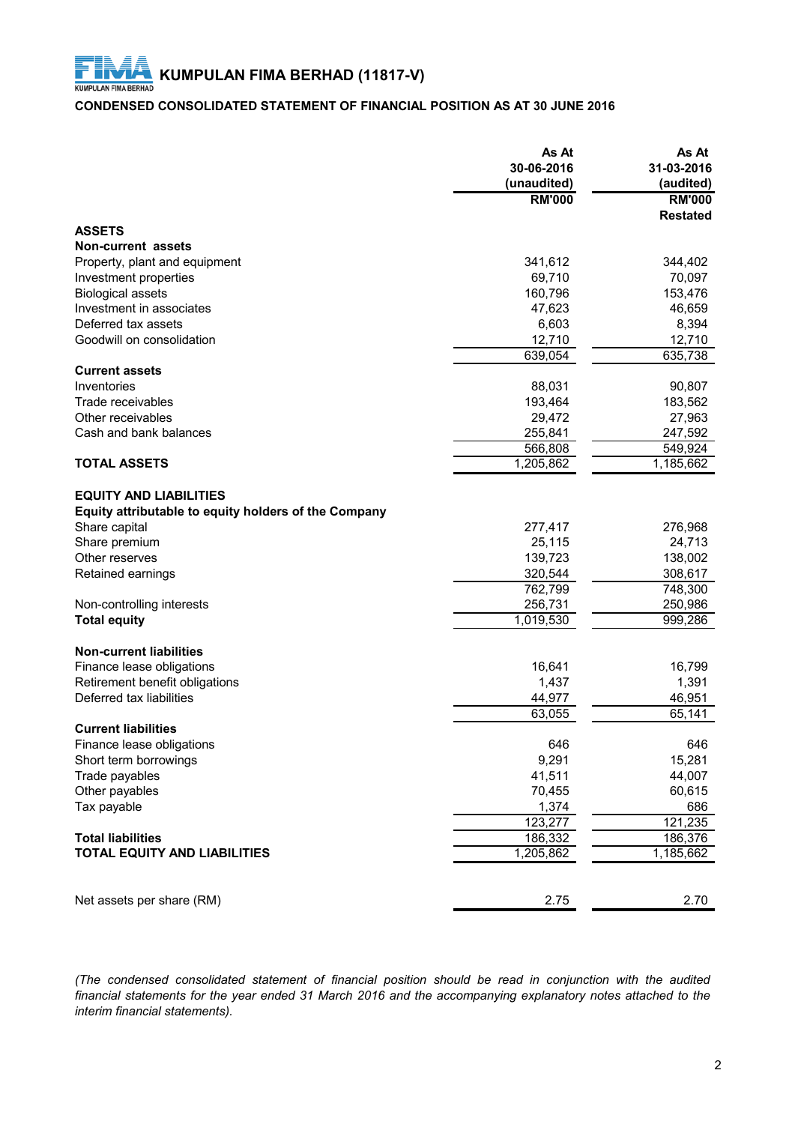# **CONDENSED CONSOLIDATED STATEMENT OF FINANCIAL POSITION AS AT 30 JUNE 2016**

|                                                                                       | As At<br>30-06-2016<br>(unaudited) | As At<br>31-03-2016<br>(audited) |
|---------------------------------------------------------------------------------------|------------------------------------|----------------------------------|
|                                                                                       | <b>RM'000</b>                      | <b>RM'000</b>                    |
|                                                                                       |                                    | <b>Restated</b>                  |
| <b>ASSETS</b>                                                                         |                                    |                                  |
| Non-current assets                                                                    |                                    |                                  |
| Property, plant and equipment                                                         | 341,612                            | 344,402                          |
| Investment properties                                                                 | 69,710                             | 70,097                           |
| <b>Biological assets</b>                                                              | 160,796                            | 153,476                          |
| Investment in associates                                                              | 47,623                             | 46,659                           |
| Deferred tax assets                                                                   | 6,603                              | 8,394                            |
| Goodwill on consolidation                                                             | 12,710                             | 12,710                           |
|                                                                                       | 639,054                            | 635,738                          |
| <b>Current assets</b>                                                                 |                                    |                                  |
| Inventories                                                                           | 88,031                             | 90,807                           |
| Trade receivables                                                                     | 193,464                            | 183,562                          |
| Other receivables                                                                     | 29,472                             | 27,963                           |
| Cash and bank balances                                                                | 255,841                            | 247,592                          |
|                                                                                       | 566,808                            | 549,924                          |
| <b>TOTAL ASSETS</b>                                                                   | 1,205,862                          | 1,185,662                        |
| <b>EQUITY AND LIABILITIES</b><br>Equity attributable to equity holders of the Company |                                    |                                  |
| Share capital                                                                         | 277,417                            | 276,968                          |
| Share premium                                                                         | 25,115                             | 24,713                           |
| Other reserves                                                                        | 139,723                            | 138,002                          |
| Retained earnings                                                                     | 320,544                            | 308,617                          |
|                                                                                       | 762,799                            | 748,300                          |
| Non-controlling interests                                                             | 256,731                            | 250,986                          |
| <b>Total equity</b>                                                                   | 1,019,530                          | 999,286                          |
| <b>Non-current liabilities</b>                                                        |                                    |                                  |
| Finance lease obligations                                                             | 16,641                             | 16,799                           |
| Retirement benefit obligations                                                        | 1,437                              | 1,391                            |
| Deferred tax liabilities                                                              | 44,977                             | 46,951                           |
|                                                                                       | 63,055                             | 65,141                           |
| <b>Current liabilities</b>                                                            |                                    |                                  |
| Finance lease obligations                                                             | 646                                | 646                              |
| Short term borrowings                                                                 | 9,291                              | 15,281                           |
| Trade payables                                                                        | 41,511                             | 44,007                           |
| Other payables                                                                        | 70,455                             | 60,615                           |
| Tax payable                                                                           | 1,374                              | 686                              |
|                                                                                       | 123,277                            | 121,235                          |
| <b>Total liabilities</b>                                                              | 186,332                            | 186,376                          |
| <b>TOTAL EQUITY AND LIABILITIES</b>                                                   | 1,205,862                          | 1,185,662                        |
| Net assets per share (RM)                                                             | 2.75                               | 2.70                             |

*(The condensed consolidated statement of financial position should be read in conjunction with the audited financial statements for the year ended 31 March 2016 and the accompanying explanatory notes attached to the interim financial statements).*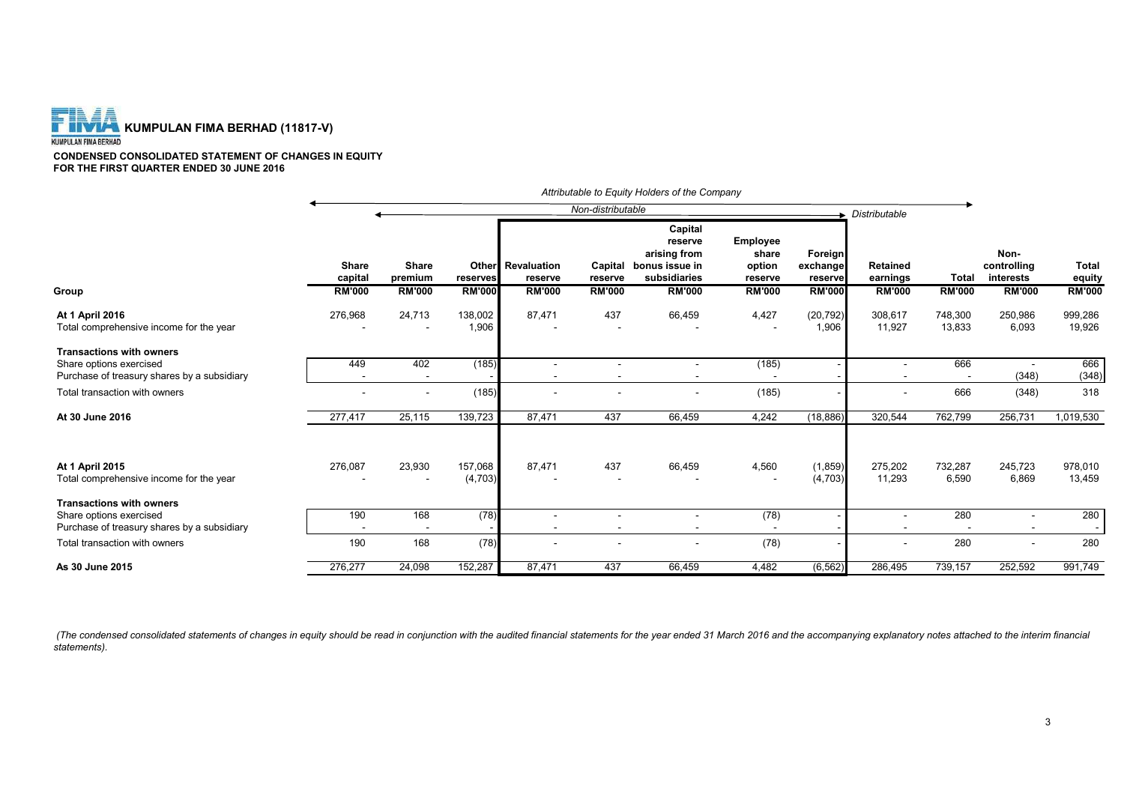

**CONDENSED CONSOLIDATED STATEMENT OF CHANGES IN EQUITY FOR THE FIRST QUARTER ENDED 30 JUNE 2016**

|                                                                        |                                          |                                          |                           |                                                      |                                     | Attributable to Equity Holders of the Company                                         |                                                         |                                                 |                                              |                               |                                                   |                                  |
|------------------------------------------------------------------------|------------------------------------------|------------------------------------------|---------------------------|------------------------------------------------------|-------------------------------------|---------------------------------------------------------------------------------------|---------------------------------------------------------|-------------------------------------------------|----------------------------------------------|-------------------------------|---------------------------------------------------|----------------------------------|
|                                                                        |                                          |                                          |                           |                                                      | Non-distributable                   |                                                                                       |                                                         |                                                 | Distributable                                |                               |                                                   |                                  |
| Group                                                                  | <b>Share</b><br>capital<br><b>RM'000</b> | <b>Share</b><br>premium<br><b>RM'000</b> | reserves<br><b>RM'000</b> | <b>Other</b> Revaluation<br>reserve<br><b>RM'000</b> | Capital<br>reserve<br><b>RM'000</b> | Capital<br>reserve<br>arising from<br>bonus issue in<br>subsidiaries<br><b>RM'000</b> | Employee<br>share<br>option<br>reserve<br><b>RM'000</b> | Foreign<br>exchange<br>reserve<br><b>RM'000</b> | <b>Retained</b><br>earnings<br><b>RM'000</b> | <b>Total</b><br><b>RM'000</b> | Non-<br>controlling<br>interests<br><b>RM'000</b> | Total<br>equity<br><b>RM'000</b> |
|                                                                        |                                          |                                          |                           |                                                      |                                     |                                                                                       |                                                         |                                                 |                                              |                               |                                                   |                                  |
| At 1 April 2016<br>Total comprehensive income for the year             | 276,968                                  | 24,713                                   | 138,002<br>1,906          | 87,471                                               | 437                                 | 66,459                                                                                | 4,427                                                   | (20, 792)<br>1,906                              | 308,617<br>11,927                            | 748,300<br>13,833             | 250,986<br>6,093                                  | 999,286<br>19,926                |
| <b>Transactions with owners</b>                                        |                                          |                                          |                           |                                                      |                                     |                                                                                       |                                                         |                                                 |                                              |                               |                                                   |                                  |
| Share options exercised                                                | 449                                      | 402                                      | (185)                     | ٠                                                    |                                     |                                                                                       | (185)                                                   |                                                 | $\overline{\phantom{a}}$                     | 666                           |                                                   | 666                              |
| Purchase of treasury shares by a subsidiary                            |                                          |                                          |                           |                                                      |                                     |                                                                                       |                                                         |                                                 |                                              |                               | (348)                                             | (348)                            |
| Total transaction with owners                                          |                                          |                                          | (185)                     |                                                      |                                     |                                                                                       | (185)                                                   |                                                 |                                              | 666                           | (348)                                             | 318                              |
| At 30 June 2016                                                        | 277,417                                  | 25,115                                   | 139,723                   | 87,471                                               | 437                                 | 66,459                                                                                | 4,242                                                   | (18, 886)                                       | 320,544                                      | 762,799                       | 256,731                                           | 1,019,530                        |
| At 1 April 2015                                                        | 276,087                                  | 23,930                                   | 157,068                   | 87,471                                               | 437                                 | 66,459                                                                                | 4,560                                                   | (1, 859)                                        | 275,202                                      | 732,287                       | 245,723                                           | 978,010                          |
| Total comprehensive income for the year                                |                                          |                                          | (4,703)                   |                                                      |                                     |                                                                                       |                                                         | (4,703)                                         | 11,293                                       | 6,590                         | 6,869                                             | 13,459                           |
| <b>Transactions with owners</b>                                        |                                          |                                          |                           |                                                      |                                     |                                                                                       |                                                         |                                                 |                                              |                               |                                                   |                                  |
| Share options exercised<br>Purchase of treasury shares by a subsidiary | 190                                      | 168                                      | (78)                      | $\overline{\phantom{a}}$                             | $\overline{\phantom{a}}$            |                                                                                       | (78)                                                    |                                                 | $\sim$                                       | 280                           |                                                   | 280<br>$\sim$                    |
| Total transaction with owners                                          | 190                                      | 168                                      | (78)                      |                                                      |                                     |                                                                                       | (78)                                                    |                                                 |                                              | 280                           |                                                   | 280                              |
| As 30 June 2015                                                        | 276,277                                  | 24,098                                   | 152,287                   | 87,471                                               | 437                                 | 66,459                                                                                | 4,482                                                   | (6, 562)                                        | 286,495                                      | 739,157                       | 252,592                                           | 991,749                          |

(The condensed consolidated statements of changes in equity should be read in conjunction with the audited financial statements for the year ended 31 March 2016 and the accompanying explanatory notes attached to the interi *statements).* 

3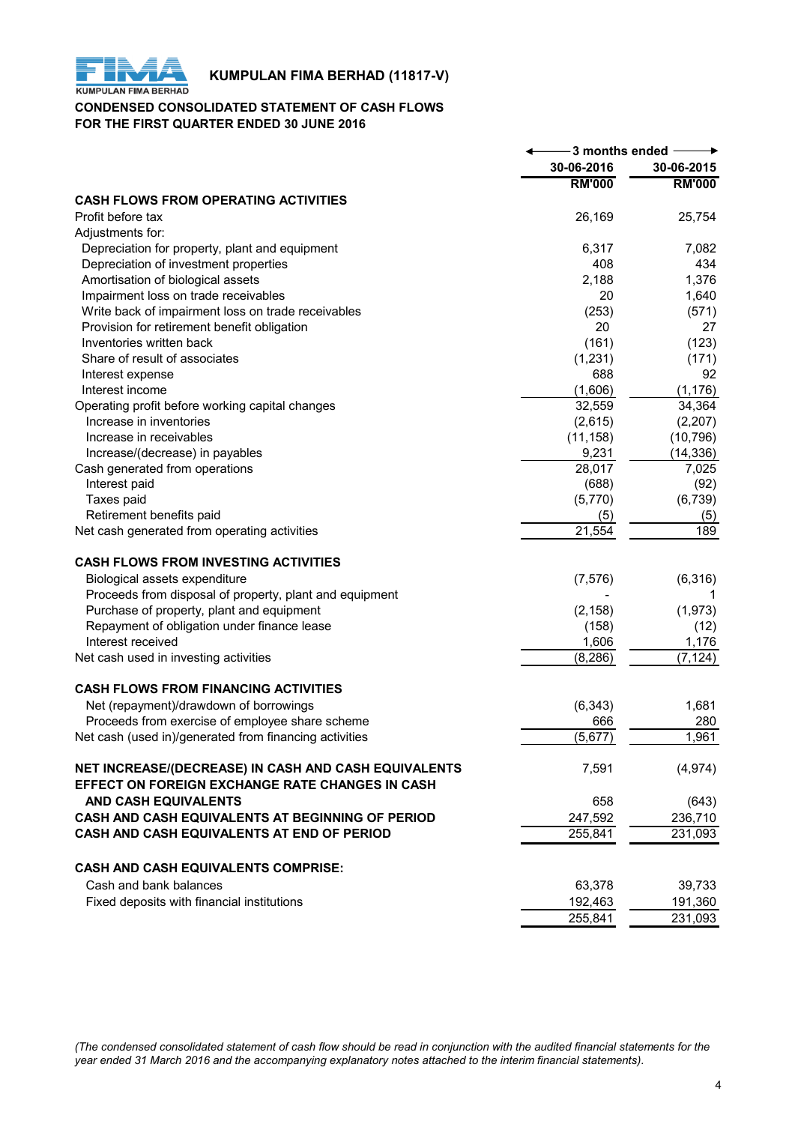

# **KUMPULAN FIMA BERHAD (11817-V)**<br>KUMPULAN FIMA BERHAD

# **CONDENSED CONSOLIDATED STATEMENT OF CASH FLOWS FOR THE FIRST QUARTER ENDED 30 JUNE 2016**

|                                                         | -3 months ended     |               |
|---------------------------------------------------------|---------------------|---------------|
|                                                         | 30-06-2016          | 30-06-2015    |
|                                                         | <b>RM'000</b>       | <b>RM'000</b> |
| <b>CASH FLOWS FROM OPERATING ACTIVITIES</b>             |                     |               |
| Profit before tax                                       | 26,169              | 25,754        |
| Adjustments for:                                        |                     |               |
| Depreciation for property, plant and equipment          | 6,317               | 7,082         |
| Depreciation of investment properties                   | 408                 | 434           |
| Amortisation of biological assets                       | 2,188               | 1,376         |
| Impairment loss on trade receivables                    | 20                  | 1,640         |
| Write back of impairment loss on trade receivables      | (253)               | (571)         |
| Provision for retirement benefit obligation             | 20                  | 27            |
| Inventories written back                                | (161)               | (123)         |
| Share of result of associates                           | (1,231)             | (171)         |
| Interest expense                                        | 688                 | 92            |
| Interest income                                         | (1,606)             | (1, 176)      |
| Operating profit before working capital changes         | 32,559              | 34,364        |
| Increase in inventories                                 | (2,615)             | (2, 207)      |
| Increase in receivables                                 | (11, 158)           | (10, 796)     |
| Increase/(decrease) in payables                         | 9,231               | (14, 336)     |
| Cash generated from operations                          | 28,017              | 7,025         |
| Interest paid                                           | (688)               | (92)          |
| Taxes paid                                              | (5,770)             | (6, 739)      |
| Retirement benefits paid                                | (5)                 | (5)           |
| Net cash generated from operating activities            | $\overline{2}1,554$ | 189           |
| <b>CASH FLOWS FROM INVESTING ACTIVITIES</b>             |                     |               |
| Biological assets expenditure                           | (7, 576)            | (6, 316)      |
| Proceeds from disposal of property, plant and equipment |                     | 1             |
| Purchase of property, plant and equipment               | (2, 158)            | (1, 973)      |
| Repayment of obligation under finance lease             | (158)               | (12)          |
| Interest received                                       | 1,606               | 1,176         |
| Net cash used in investing activities                   | (8, 286)            | (7, 124)      |
| <b>CASH FLOWS FROM FINANCING ACTIVITIES</b>             |                     |               |
| Net (repayment)/drawdown of borrowings                  | (6, 343)            | 1,681         |
| Proceeds from exercise of employee share scheme         | 666                 | 280           |
| Net cash (used in)/generated from financing activities  | (5,677)             | 1,961         |
| NET INCREASE/(DECREASE) IN CASH AND CASH EQUIVALENTS    | 7,591               | (4, 974)      |
| EFFECT ON FOREIGN EXCHANGE RATE CHANGES IN CASH         |                     |               |
| AND CASH EQUIVALENTS                                    | 658                 | (643)         |
| CASH AND CASH EQUIVALENTS AT BEGINNING OF PERIOD        | 247,592             | 236,710       |
| CASH AND CASH EQUIVALENTS AT END OF PERIOD              | 255,841             | 231,093       |
|                                                         |                     |               |
| CASH AND CASH EQUIVALENTS COMPRISE:                     |                     |               |
| Cash and bank balances                                  | 63,378              | 39,733        |
| Fixed deposits with financial institutions              | 192,463             | 191,360       |
|                                                         | 255,841             | 231,093       |

*(The condensed consolidated statement of cash flow should be read in conjunction with the audited financial statements for the year ended 31 March 2016 and the accompanying explanatory notes attached to the interim financial statements).*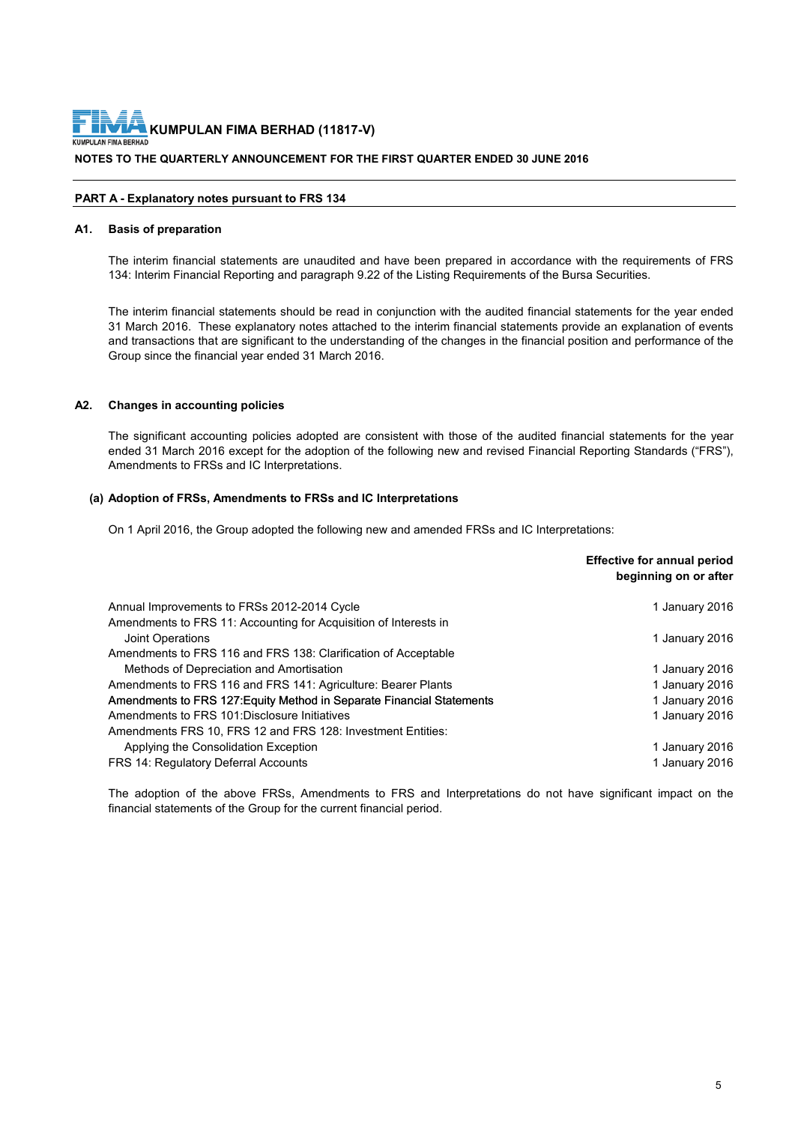**NOTES TO THE QUARTERLY ANNOUNCEMENT FOR THE FIRST QUARTER ENDED 30 JUNE 2016 KUMPULAN FIMA BERHAD (11817-V)**

# **PART A - Explanatory notes pursuant to FRS 134**

#### **A1. Basis of preparation**

The interim financial statements are unaudited and have been prepared in accordance with the requirements of FRS 134: Interim Financial Reporting and paragraph 9.22 of the Listing Requirements of the Bursa Securities.

The interim financial statements should be read in conjunction with the audited financial statements for the year ended 31 March 2016. These explanatory notes attached to the interim financial statements provide an explanation of events and transactions that are significant to the understanding of the changes in the financial position and performance of the Group since the financial year ended 31 March 2016.

# **A2. Changes in accounting policies**

The significant accounting policies adopted are consistent with those of the audited financial statements for the year ended 31 March 2016 except for the adoption of the following new and revised Financial Reporting Standards ("FRS"), Amendments to FRSs and IC Interpretations.

## **(a) Adoption of FRSs, Amendments to FRSs and IC Interpretations**

On 1 April 2016, the Group adopted the following new and amended FRSs and IC Interpretations:

|                                                                       | <b>Effective for annual period</b><br>beginning on or after |
|-----------------------------------------------------------------------|-------------------------------------------------------------|
| Annual Improvements to FRSs 2012-2014 Cycle                           | 1 January 2016                                              |
| Amendments to FRS 11: Accounting for Acquisition of Interests in      |                                                             |
| Joint Operations                                                      | 1 January 2016                                              |
| Amendments to FRS 116 and FRS 138: Clarification of Acceptable        |                                                             |
| Methods of Depreciation and Amortisation                              | 1 January 2016                                              |
| Amendments to FRS 116 and FRS 141: Agriculture: Bearer Plants         | 1 January 2016                                              |
| Amendments to FRS 127: Equity Method in Separate Financial Statements | 1 January 2016                                              |
| Amendments to FRS 101:Disclosure Initiatives                          | 1 January 2016                                              |
| Amendments FRS 10, FRS 12 and FRS 128: Investment Entities:           |                                                             |
| Applying the Consolidation Exception                                  | 1 January 2016                                              |
| FRS 14: Regulatory Deferral Accounts                                  | 1 January 2016                                              |

The adoption of the above FRSs, Amendments to FRS and Interpretations do not have significant impact on the financial statements of the Group for the current financial period.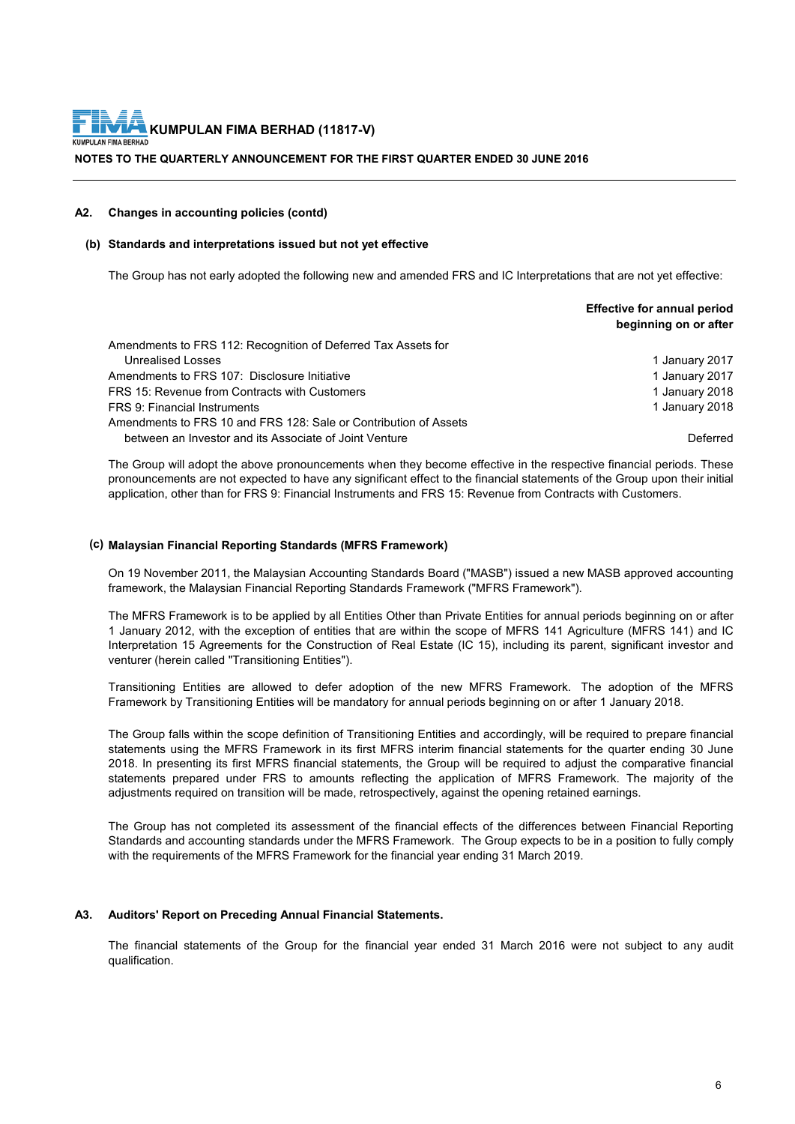**NOTES TO THE QUARTERLY ANNOUNCEMENT FOR THE FIRST QUARTER ENDED 30 JUNE 2016**

## **A2. Changes in accounting policies (contd)**

# **(b) Standards and interpretations issued but not yet effective**

The Group has not early adopted the following new and amended FRS and IC Interpretations that are not yet effective:

|                                                                  | <b>Effective for annual period</b><br>beginning on or after |
|------------------------------------------------------------------|-------------------------------------------------------------|
| Amendments to FRS 112: Recognition of Deferred Tax Assets for    |                                                             |
| <b>Unrealised Losses</b>                                         | 1 January 2017                                              |
| Amendments to FRS 107: Disclosure Initiative                     | 1 January 2017                                              |
| FRS 15: Revenue from Contracts with Customers                    | 1 January 2018                                              |
| FRS 9: Financial Instruments                                     | 1 January 2018                                              |
| Amendments to FRS 10 and FRS 128: Sale or Contribution of Assets |                                                             |
| between an Investor and its Associate of Joint Venture           | Deferred                                                    |

The Group will adopt the above pronouncements when they become effective in the respective financial periods. These pronouncements are not expected to have any significant effect to the financial statements of the Group upon their initial application, other than for FRS 9: Financial Instruments and FRS 15: Revenue from Contracts with Customers.

# **(c) Malaysian Financial Reporting Standards (MFRS Framework)**

On 19 November 2011, the Malaysian Accounting Standards Board ("MASB") issued a new MASB approved accounting framework, the Malaysian Financial Reporting Standards Framework ("MFRS Framework").

The MFRS Framework is to be applied by all Entities Other than Private Entities for annual periods beginning on or after 1 January 2012, with the exception of entities that are within the scope of MFRS 141 Agriculture (MFRS 141) and IC Interpretation 15 Agreements for the Construction of Real Estate (IC 15), including its parent, significant investor and venturer (herein called "Transitioning Entities").

Transitioning Entities are allowed to defer adoption of the new MFRS Framework. The adoption of the MFRS Framework by Transitioning Entities will be mandatory for annual periods beginning on or after 1 January 2018.

The Group falls within the scope definition of Transitioning Entities and accordingly, will be required to prepare financial statements using the MFRS Framework in its first MFRS interim financial statements for the quarter ending 30 June 2018. In presenting its first MFRS financial statements, the Group will be required to adjust the comparative financial statements prepared under FRS to amounts reflecting the application of MFRS Framework. The majority of the adjustments required on transition will be made, retrospectively, against the opening retained earnings.

The Group has not completed its assessment of the financial effects of the differences between Financial Reporting Standards and accounting standards under the MFRS Framework. The Group expects to be in a position to fully comply with the requirements of the MFRS Framework for the financial year ending 31 March 2019.

# **A3. Auditors' Report on Preceding Annual Financial Statements.**

The financial statements of the Group for the financial year ended 31 March 2016 were not subject to any audit qualification.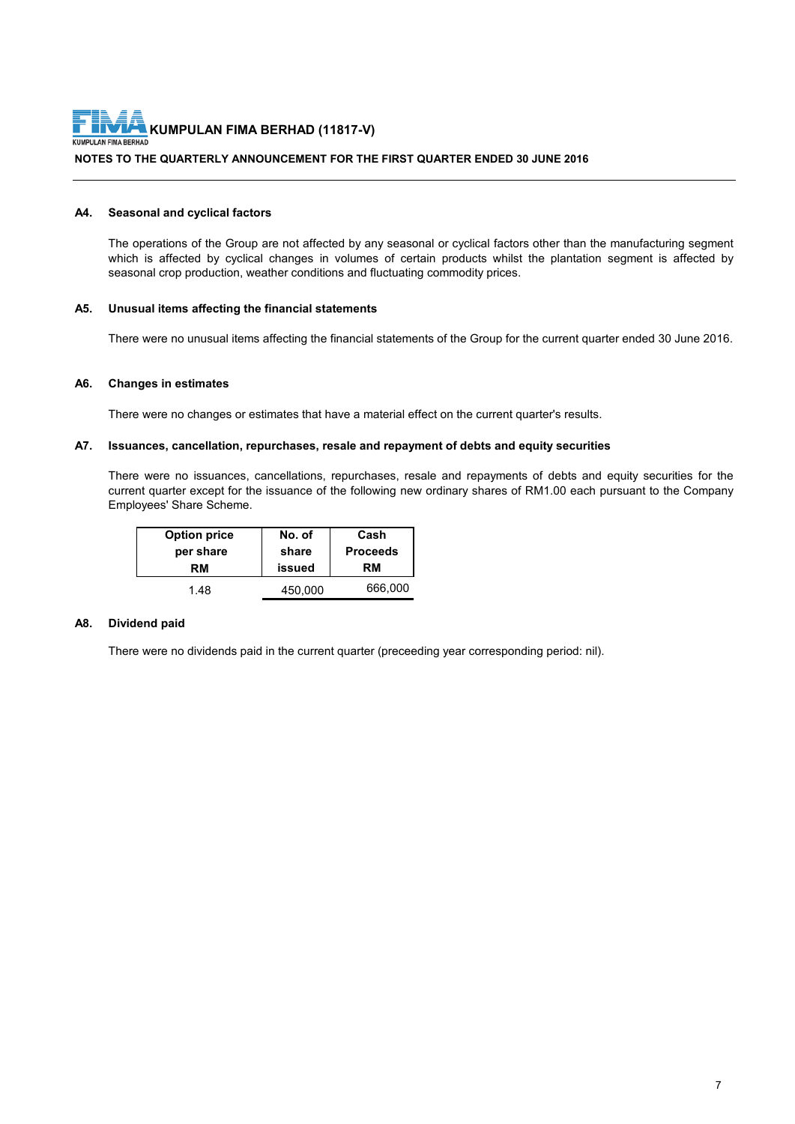

# **NOTES TO THE QUARTERLY ANNOUNCEMENT FOR THE FIRST QUARTER ENDED 30 JUNE 2016**

#### **A4. Seasonal and cyclical factors**

The operations of the Group are not affected by any seasonal or cyclical factors other than the manufacturing segment which is affected by cyclical changes in volumes of certain products whilst the plantation segment is affected by seasonal crop production, weather conditions and fluctuating commodity prices.

# **A5. Unusual items affecting the financial statements**

There were no unusual items affecting the financial statements of the Group for the current quarter ended 30 June 2016.

#### **A6. Changes in estimates**

There were no changes or estimates that have a material effect on the current quarter's results.

# **A7. Issuances, cancellation, repurchases, resale and repayment of debts and equity securities**

There were no issuances, cancellations, repurchases, resale and repayments of debts and equity securities for the current quarter except for the issuance of the following new ordinary shares of RM1.00 each pursuant to the Company Employees' Share Scheme.

| <b>Option price</b> | No. of  | Cash            |
|---------------------|---------|-----------------|
| per share           | share   | <b>Proceeds</b> |
| RМ                  | issued  | RM              |
| 1.48                | 450.000 | 666,000         |

# **A8. Dividend paid**

There were no dividends paid in the current quarter (preceeding year corresponding period: nil).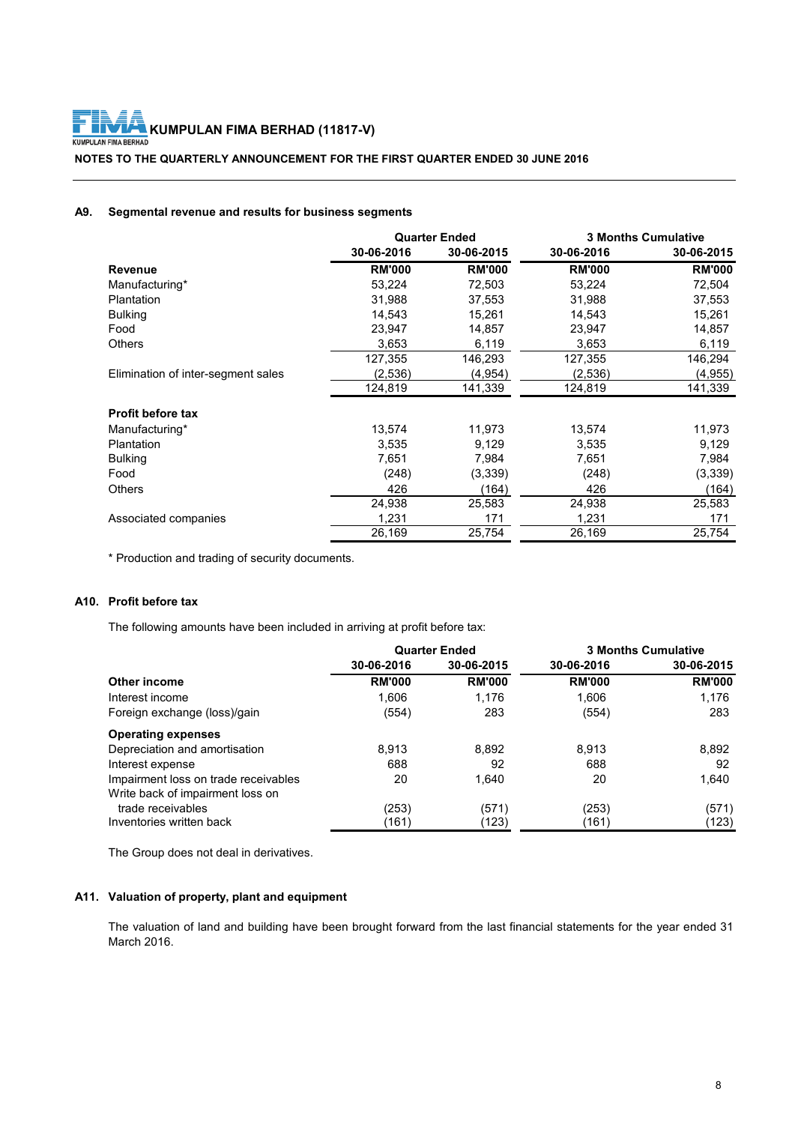**NOTES TO THE QUARTERLY ANNOUNCEMENT FOR THE FIRST QUARTER ENDED 30 JUNE 2016**

# **A9. Segmental revenue and results for business segments**

|                                    | <b>Quarter Ended</b> |               | <b>3 Months Cumulative</b> |               |
|------------------------------------|----------------------|---------------|----------------------------|---------------|
|                                    | 30-06-2016           | 30-06-2015    | 30-06-2016                 | 30-06-2015    |
| <b>Revenue</b>                     | <b>RM'000</b>        | <b>RM'000</b> | <b>RM'000</b>              | <b>RM'000</b> |
| Manufacturing*                     | 53,224               | 72,503        | 53,224                     | 72,504        |
| Plantation                         | 31,988               | 37,553        | 31,988                     | 37,553        |
| <b>Bulking</b>                     | 14,543               | 15,261        | 14,543                     | 15,261        |
| Food                               | 23,947               | 14,857        | 23,947                     | 14,857        |
| Others                             | 3,653                | 6,119         | 3,653                      | 6,119         |
|                                    | 127,355              | 146,293       | 127,355                    | 146,294       |
| Elimination of inter-segment sales | (2,536)              | (4,954)       | (2,536)                    | (4,955)       |
|                                    | 124,819              | 141,339       | 124,819                    | 141,339       |
| <b>Profit before tax</b>           |                      |               |                            |               |
| Manufacturing*                     | 13,574               | 11,973        | 13,574                     | 11,973        |
| Plantation                         | 3,535                | 9,129         | 3,535                      | 9,129         |
| <b>Bulking</b>                     | 7.651                | 7,984         | 7,651                      | 7,984         |
| Food                               | (248)                | (3,339)       | (248)                      | (3,339)       |
| Others                             | 426                  | (164)         | 426                        | (164)         |
|                                    | 24,938               | 25,583        | 24,938                     | 25,583        |
| Associated companies               | 1,231                | 171           | 1,231                      | 171           |
|                                    | 26,169               | 25,754        | 26,169                     | 25,754        |

\* Production and trading of security documents.

# **A10. Profit before tax**

The following amounts have been included in arriving at profit before tax:

|                                      | <b>Quarter Ended</b> |               |               | <b>3 Months Cumulative</b> |
|--------------------------------------|----------------------|---------------|---------------|----------------------------|
|                                      | 30-06-2016           | 30-06-2015    | 30-06-2016    | 30-06-2015                 |
| Other income                         | <b>RM'000</b>        | <b>RM'000</b> | <b>RM'000</b> | <b>RM'000</b>              |
| Interest income                      | 1,606                | 1,176         | 1,606         | 1,176                      |
| Foreign exchange (loss)/gain         | (554)                | 283           | (554)         | 283                        |
| <b>Operating expenses</b>            |                      |               |               |                            |
| Depreciation and amortisation        | 8.913                | 8,892         | 8,913         | 8,892                      |
| Interest expense                     | 688                  | 92            | 688           | 92                         |
| Impairment loss on trade receivables | 20                   | 1,640         | 20            | 1,640                      |
| Write back of impairment loss on     |                      |               |               |                            |
| trade receivables                    | (253)                | (571)         | (253)         | (571)                      |
| Inventories written back             | (161)                | (123)         | (161)         | (123)                      |

The Group does not deal in derivatives.

# **A11. Valuation of property, plant and equipment**

The valuation of land and building have been brought forward from the last financial statements for the year ended 31 March 2016.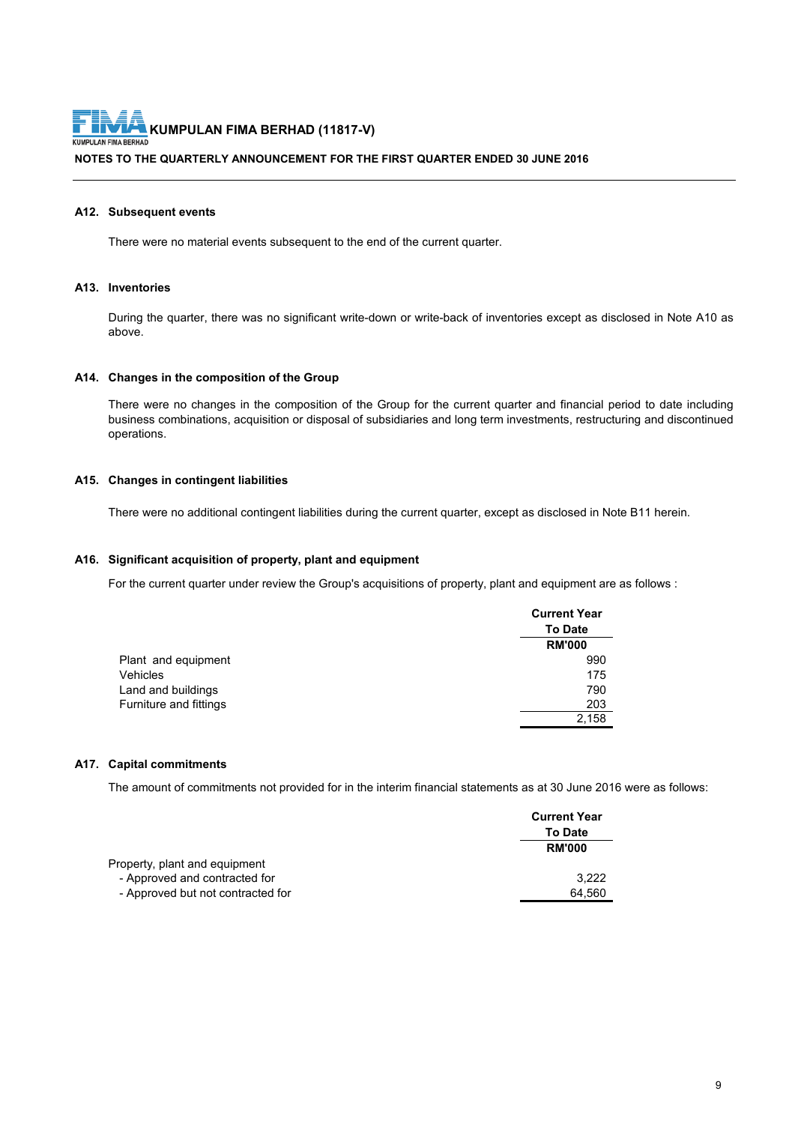**NOTES TO THE QUARTERLY ANNOUNCEMENT FOR THE FIRST QUARTER ENDED 30 JUNE 2016**

#### **A12. Subsequent events**

There were no material events subsequent to the end of the current quarter.

# **A13. Inventories**

During the quarter, there was no significant write-down or write-back of inventories except as disclosed in Note A10 as above.

#### **A14. Changes in the composition of the Group**

There were no changes in the composition of the Group for the current quarter and financial period to date including business combinations, acquisition or disposal of subsidiaries and long term investments, restructuring and discontinued operations.

# **A15. Changes in contingent liabilities**

There were no additional contingent liabilities during the current quarter, except as disclosed in Note B11 herein.

## **A16. Significant acquisition of property, plant and equipment**

For the current quarter under review the Group's acquisitions of property, plant and equipment are as follows :

|                        | <b>Current Year</b> |
|------------------------|---------------------|
|                        | <b>To Date</b>      |
|                        | <b>RM'000</b>       |
| Plant and equipment    | 990                 |
| Vehicles               | 175                 |
| Land and buildings     | 790                 |
| Furniture and fittings | 203                 |
|                        | 2.158               |

## **A17. Capital commitments**

The amount of commitments not provided for in the interim financial statements as at 30 June 2016 were as follows:

|                                   | <b>Current Year</b> |
|-----------------------------------|---------------------|
|                                   | <b>To Date</b>      |
|                                   | <b>RM'000</b>       |
| Property, plant and equipment     |                     |
| - Approved and contracted for     | 3.222               |
| - Approved but not contracted for | 64.560              |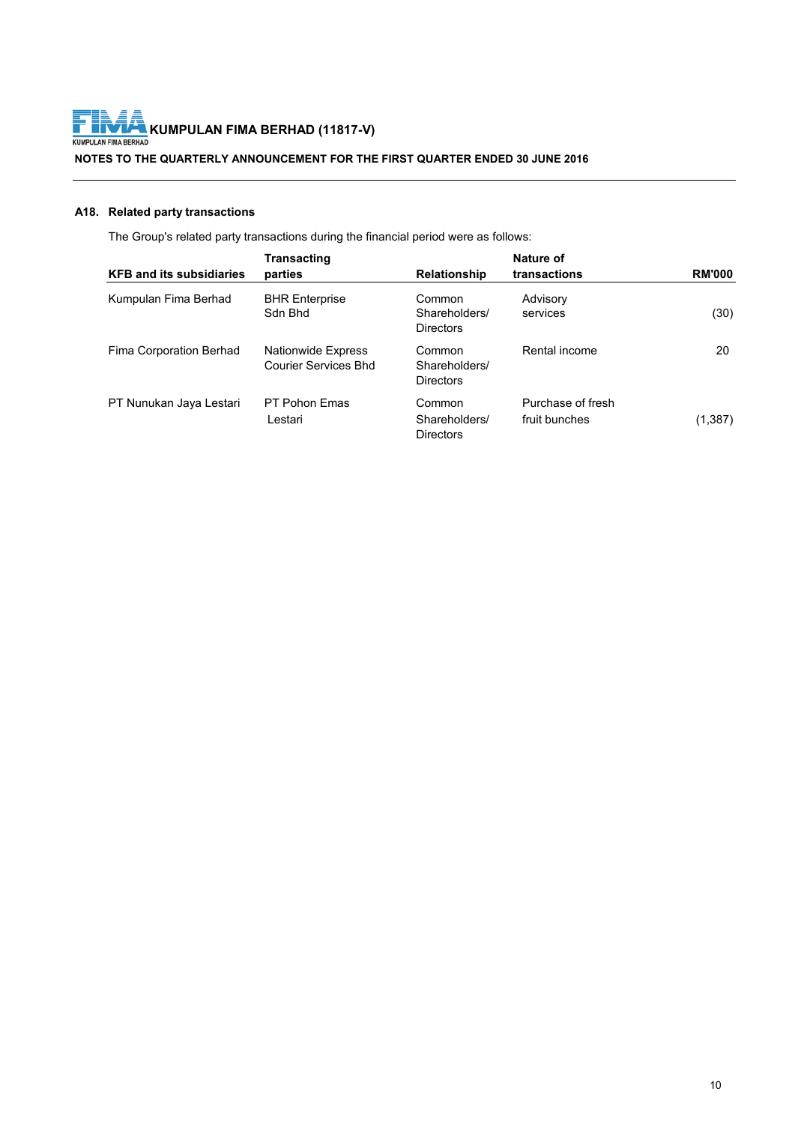

**NOTES TO THE QUARTERLY ANNOUNCEMENT FOR THE FIRST QUARTER ENDED 30 JUNE 2016**

# **A18. Related party transactions**

The Group's related party transactions during the financial period were as follows:

| <b>KFB and its subsidiaries</b> | <b>Transacting</b><br>parties                     | <b>Relationship</b>                         | Nature of<br>transactions          | <b>RM'000</b> |
|---------------------------------|---------------------------------------------------|---------------------------------------------|------------------------------------|---------------|
| Kumpulan Fima Berhad            | <b>BHR Enterprise</b><br>Sdn Bhd                  | Common<br>Shareholders/<br><b>Directors</b> | Advisory<br>services               | (30)          |
| Fima Corporation Berhad         | Nationwide Express<br><b>Courier Services Bhd</b> | Common<br>Shareholders/<br><b>Directors</b> | Rental income                      | 20            |
| PT Nunukan Jaya Lestari         | PT Pohon Emas<br>Lestari                          | Common<br>Shareholders/<br><b>Directors</b> | Purchase of fresh<br>fruit bunches | (1, 387)      |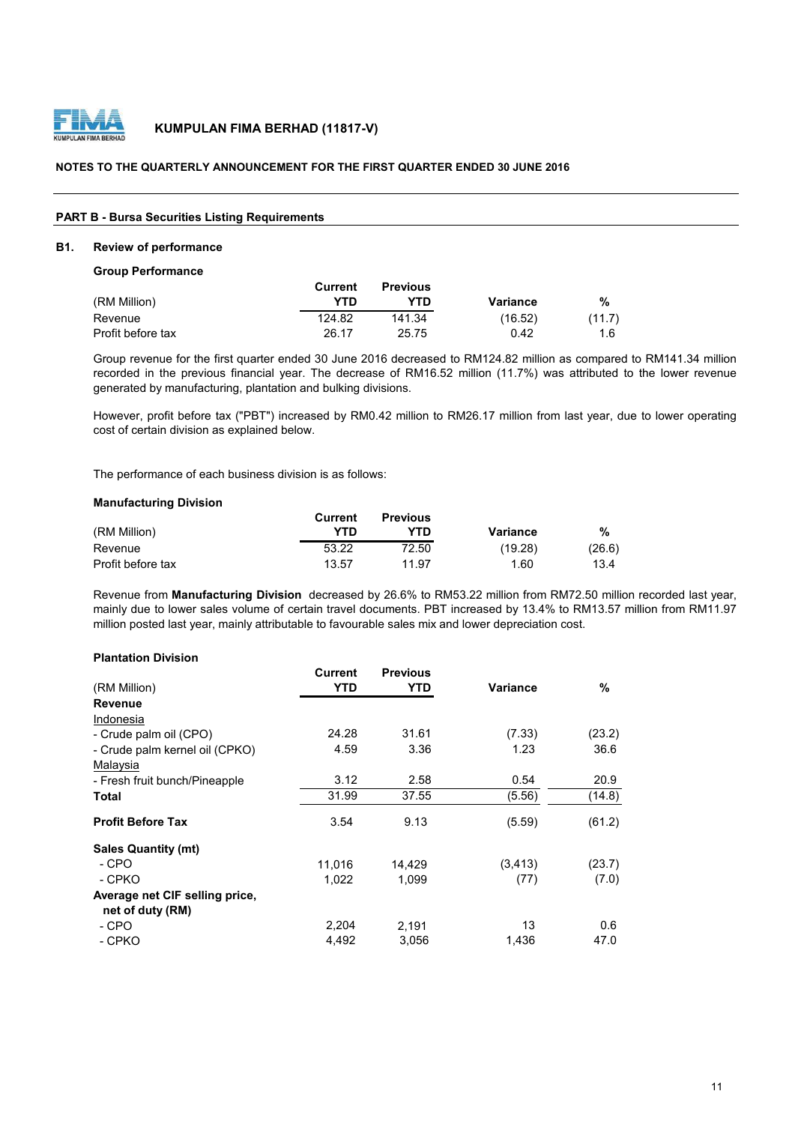

# **NOTES TO THE QUARTERLY ANNOUNCEMENT FOR THE FIRST QUARTER ENDED 30 JUNE 2016**

#### **PART B - Bursa Securities Listing Requirements**

#### **B1. Review of performance**

## **Group Performance**

|                   | Current | <b>Previous</b> |          |        |
|-------------------|---------|-----------------|----------|--------|
| (RM Million)      | YTD     | YTD             | Variance | %      |
| Revenue           | 124.82  | 141.34          | (16.52)  | (11.7) |
| Profit before tax | 26.17   | 25.75           | 0.42     | 1.6    |

Group revenue for the first quarter ended 30 June 2016 decreased to RM124.82 million as compared to RM141.34 million recorded in the previous financial year. The decrease of RM16.52 million (11.7%) was attributed to the lower revenue generated by manufacturing, plantation and bulking divisions.

However, profit before tax ("PBT") increased by RM0.42 million to RM26.17 million from last year, due to lower operating cost of certain division as explained below.

The performance of each business division is as follows:

# **Manufacturing Division**

|                   | Current | <b>Previous</b> |          |        |
|-------------------|---------|-----------------|----------|--------|
| (RM Million)      | YTN     | /TD             | Variance | %      |
| Revenue           | 53.22   | 72.50           | (19.28)  | (26.6) |
| Profit before tax | 13.57   | 11.97           | 1.60     | 13.4   |

Revenue from **Manufacturing Division** decreased by 26.6% to RM53.22 million from RM72.50 million recorded last year, mainly due to lower sales volume of certain travel documents. PBT increased by 13.4% to RM13.57 million from RM11.97 million posted last year, mainly attributable to favourable sales mix and lower depreciation cost.

# **Plantation Division**

|                                | Current | <b>Previous</b> |                 |        |
|--------------------------------|---------|-----------------|-----------------|--------|
| (RM Million)                   | YTD     | YTD             | <b>Variance</b> | %      |
| <b>Revenue</b>                 |         |                 |                 |        |
| Indonesia                      |         |                 |                 |        |
| - Crude palm oil (CPO)         | 24.28   | 31.61           | (7.33)          | (23.2) |
| - Crude palm kernel oil (CPKO) | 4.59    | 3.36            | 1.23            | 36.6   |
| Malaysia                       |         |                 |                 |        |
| - Fresh fruit bunch/Pineapple  | 3.12    | 2.58            | 0.54            | 20.9   |
| Total                          | 31.99   | 37.55           | (5.56)          | (14.8) |
| <b>Profit Before Tax</b>       | 3.54    | 9.13            | (5.59)          | (61.2) |
| <b>Sales Quantity (mt)</b>     |         |                 |                 |        |
| - CPO                          | 11,016  | 14,429          | (3, 413)        | (23.7) |
| - CPKO                         | 1,022   | 1,099           | (77)            | (7.0)  |
| Average net CIF selling price, |         |                 |                 |        |
| net of duty (RM)               |         |                 |                 |        |
| - CPO                          | 2,204   | 2.191           | 13              | 0.6    |
| - CPKO                         | 4,492   | 3,056           | 1,436           | 47.0   |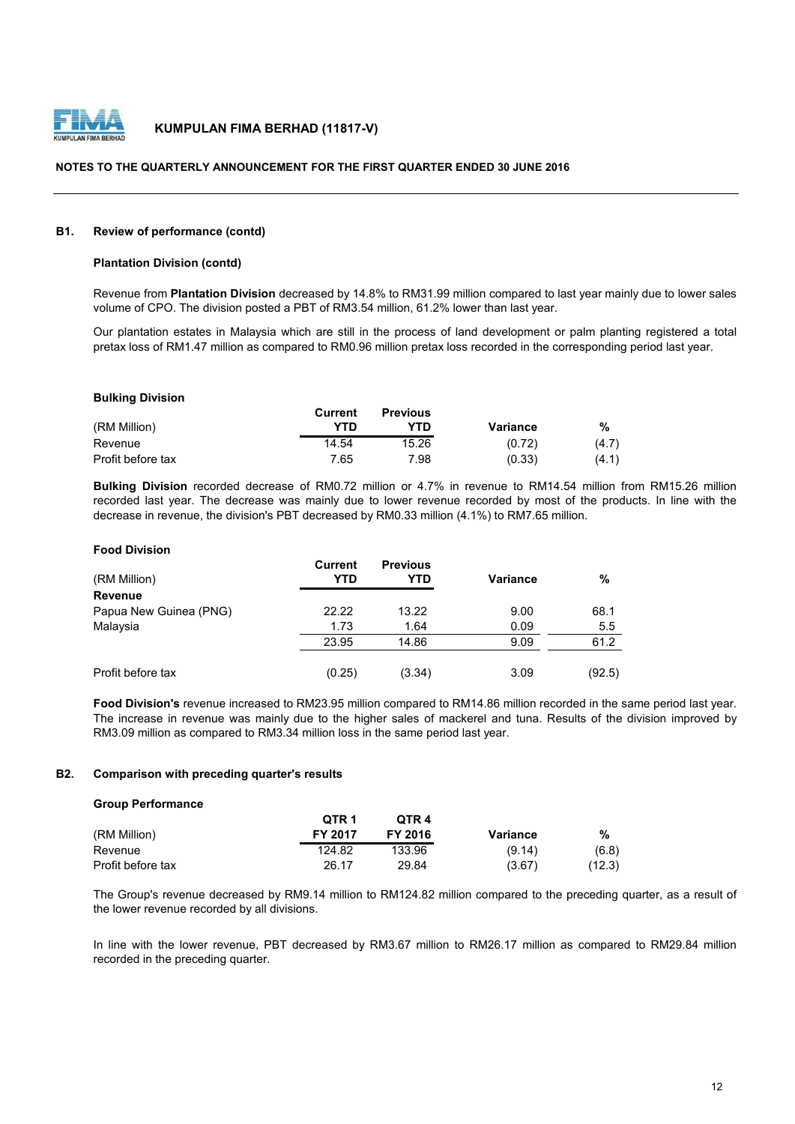

### **NOTES TO THE QUARTERLY ANNOUNCEMENT FOR THE FIRST QUARTER ENDED 30 JUNE 2016**

#### **B1. Review of performance (contd)**

#### **Plantation Division (contd)**

Revenue from **Plantation Division** decreased by 14.8% to RM31.99 million compared to last year mainly due to lower sales volume of CPO. The division posted a PBT of RM3.54 million, 61.2% lower than last year.

Our plantation estates in Malaysia which are still in the process of land development or palm planting registered a total pretax loss of RM1.47 million as compared to RM0.96 million pretax loss recorded in the corresponding period last year.

#### **Bulking Division**

|                   | Current | <b>Previous</b> |          |       |
|-------------------|---------|-----------------|----------|-------|
| (RM Million)      | YTD     | YTD             | Variance | %     |
| Revenue           | 14.54   | 15.26           | (0.72)   | (4.7) |
| Profit before tax | 7.65    | 7.98            | (0.33)   | (4.1) |

**Bulking Division** recorded decrease of RM0.72 million or 4.7% in revenue to RM14.54 million from RM15.26 million recorded last year. The decrease was mainly due to lower revenue recorded by most of the products. In line with the decrease in revenue, the division's PBT decreased by RM0.33 million (4.1%) to RM7.65 million.

## **Food Division**

| (RM Million)           | <b>Current</b><br>YTD | <b>Previous</b><br>YTD | <b>Variance</b> | $\%$   |
|------------------------|-----------------------|------------------------|-----------------|--------|
| Revenue                |                       |                        |                 |        |
| Papua New Guinea (PNG) | 22.22                 | 13.22                  | 9.00            | 68.1   |
| Malaysia               | 1.73                  | 1.64                   | 0.09            | 5.5    |
|                        | 23.95                 | 14.86                  | 9.09            | 61.2   |
| Profit before tax      | (0.25)                | (3.34)                 | 3.09            | (92.5) |

**Food Division's** revenue increased to RM23.95 million compared to RM14.86 million recorded in the same period last year. The increase in revenue was mainly due to the higher sales of mackerel and tuna. Results of the division improved by RM3.09 million as compared to RM3.34 million loss in the same period last year.

#### **B2. Comparison with preceding quarter's results**

#### **Group Performance**

|                   | OTR <sub>1</sub> | OTR <sub>4</sub> |          |        |
|-------------------|------------------|------------------|----------|--------|
| (RM Million)      | <b>FY 2017</b>   | FY 2016          | Variance | %      |
| Revenue           | 124.82           | 133.96           | (9.14)   | (6.8)  |
| Profit before tax | 26.17            | 29.84            | (3.67)   | (12.3) |

The Group's revenue decreased by RM9.14 million to RM124.82 million compared to the preceding quarter, as a result of the lower revenue recorded by all divisions.

In line with the lower revenue, PBT decreased by RM3.67 million to RM26.17 million as compared to RM29.84 million recorded in the preceding quarter.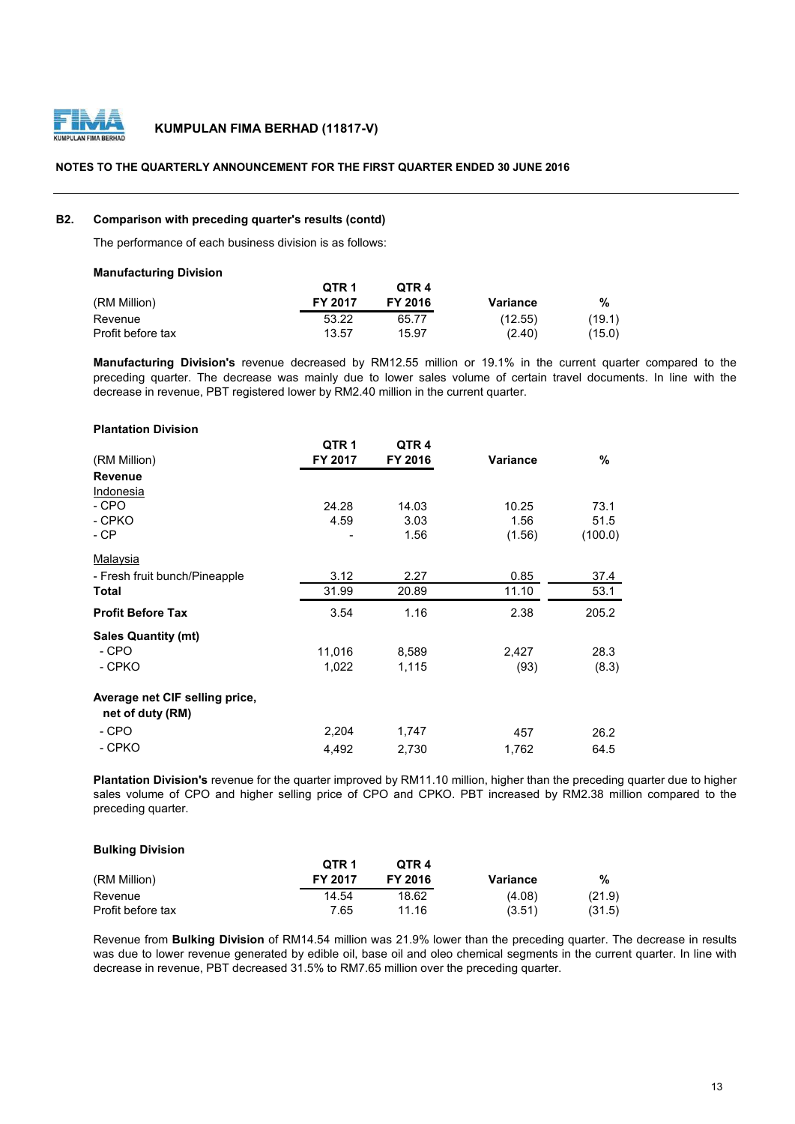

# **NOTES TO THE QUARTERLY ANNOUNCEMENT FOR THE FIRST QUARTER ENDED 30 JUNE 2016**

# **B2. Comparison with preceding quarter's results (contd)**

The performance of each business division is as follows:

| <b>Manufacturing Division</b> |         |         |          |        |
|-------------------------------|---------|---------|----------|--------|
|                               | QTR 1   | OTR 4   |          |        |
| (RM Million)                  | FY 2017 | FY 2016 | Variance | %      |
| Revenue                       | 53.22   | 65.77   | (12.55)  | (19.1) |
| Profit before tax             | 13.57   | 15.97   | (2.40)   | (15.0) |

**Manufacturing Division's** revenue decreased by RM12.55 million or 19.1% in the current quarter compared to the preceding quarter. The decrease was mainly due to lower sales volume of certain travel documents. In line with the decrease in revenue, PBT registered lower by RM2.40 million in the current quarter.

| <b>Plantation Division</b>                         |                  |                  |          |         |
|----------------------------------------------------|------------------|------------------|----------|---------|
|                                                    | QTR <sub>1</sub> | QTR <sub>4</sub> |          |         |
| (RM Million)                                       | FY 2017          | FY 2016          | Variance | %       |
| <b>Revenue</b>                                     |                  |                  |          |         |
| Indonesia                                          |                  |                  |          |         |
| - CPO                                              | 24.28            | 14.03            | 10.25    | 73.1    |
| - CPKO                                             | 4.59             | 3.03             | 1.56     | 51.5    |
| - CP                                               |                  | 1.56             | (1.56)   | (100.0) |
| Malaysia                                           |                  |                  |          |         |
| - Fresh fruit bunch/Pineapple                      | 3.12             | 2.27             | 0.85     | 37.4    |
| Total                                              | 31.99            | 20.89            | 11.10    | 53.1    |
| <b>Profit Before Tax</b>                           | 3.54             | 1.16             | 2.38     | 205.2   |
| <b>Sales Quantity (mt)</b>                         |                  |                  |          |         |
| - CPO                                              | 11,016           | 8,589            | 2,427    | 28.3    |
| - CPKO                                             | 1,022            | 1,115            | (93)     | (8.3)   |
| Average net CIF selling price,<br>net of duty (RM) |                  |                  |          |         |
| - CPO                                              | 2,204            | 1,747            | 457      | 26.2    |
| - CPKO                                             | 4,492            | 2,730            | 1,762    | 64.5    |

**Plantation Division's** revenue for the quarter improved by RM11.10 million, higher than the preceding quarter due to higher sales volume of CPO and higher selling price of CPO and CPKO. PBT increased by RM2.38 million compared to the preceding quarter.

#### **Bulking Division**

|                   | QTR <sub>1</sub> | OTR <sub>4</sub> |          |        |
|-------------------|------------------|------------------|----------|--------|
| (RM Million)      | <b>FY 2017</b>   | <b>FY 2016</b>   | Variance | %      |
| Revenue           | 14.54            | 18.62            | (4.08)   | (21.9) |
| Profit before tax | 7.65             | 11.16            | (3.51)   | (31.5) |

Revenue from **Bulking Division** of RM14.54 million was 21.9% lower than the preceding quarter. The decrease in results was due to lower revenue generated by edible oil, base oil and oleo chemical segments in the current quarter. In line with decrease in revenue, PBT decreased 31.5% to RM7.65 million over the preceding quarter.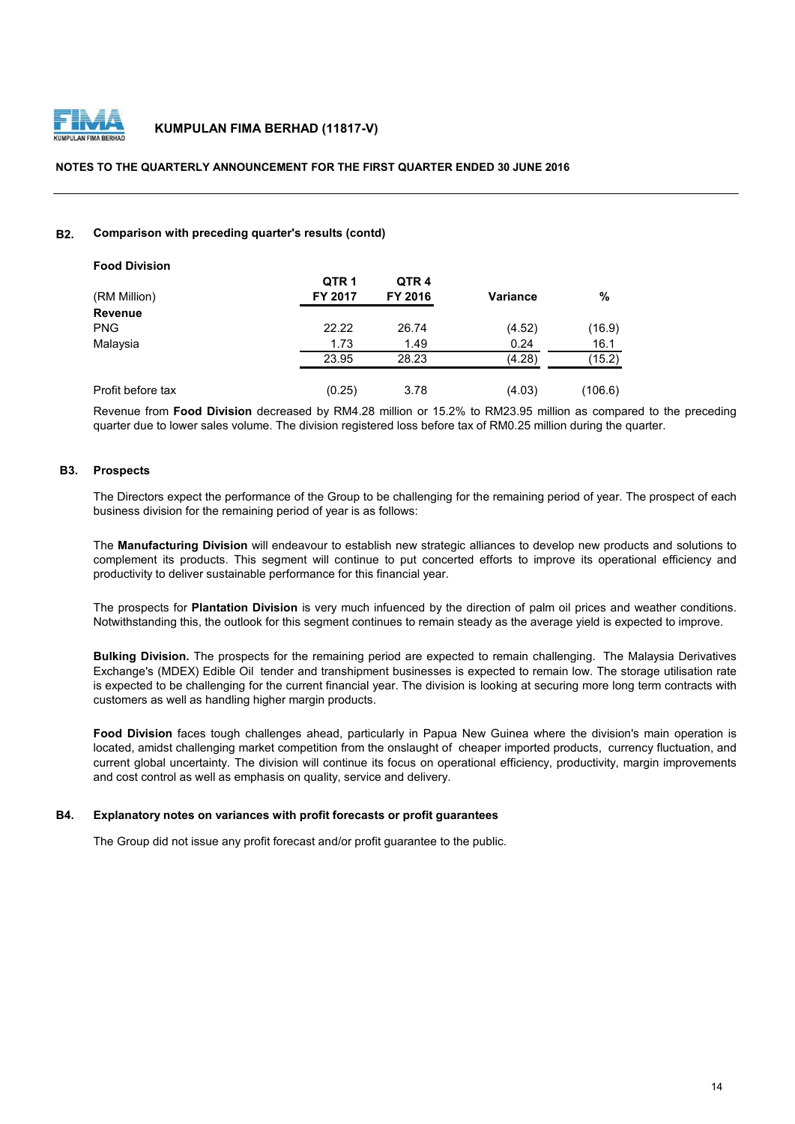

# **NOTES TO THE QUARTERLY ANNOUNCEMENT FOR THE FIRST QUARTER ENDED 30 JUNE 2016**

# **B2. Comparison with preceding quarter's results (contd)**

| <b>Food Division</b> |                  |                  |                 |         |
|----------------------|------------------|------------------|-----------------|---------|
|                      | QTR <sub>1</sub> | QTR <sub>4</sub> |                 |         |
| (RM Million)         | FY 2017          | FY 2016          | <b>Variance</b> | %       |
| <b>Revenue</b>       |                  |                  |                 |         |
| <b>PNG</b>           | 22.22            | 26.74            | (4.52)          | (16.9)  |
| Malaysia             | 1.73             | 1.49             | 0.24            | 16.1    |
|                      | 23.95            | 28.23            | (4.28)          | (15.2)  |
| Profit before tax    | (0.25)           | 3.78             | (4.03)          | (106.6) |

Revenue from **Food Division** decreased by RM4.28 million or 15.2% to RM23.95 million as compared to the preceding quarter due to lower sales volume. The division registered loss before tax of RM0.25 million during the quarter.

#### **B3. Prospects**

The Directors expect the performance of the Group to be challenging for the remaining period of year. The prospect of each business division for the remaining period of year is as follows:

The **Manufacturing Division** will endeavour to establish new strategic alliances to develop new products and solutions to complement its products. This segment will continue to put concerted efforts to improve its operational efficiency and productivity to deliver sustainable performance for this financial year.

The prospects for **Plantation Division** is very much infuenced by the direction of palm oil prices and weather conditions. Notwithstanding this, the outlook for this segment continues to remain steady as the average yield is expected to improve.

**Bulking Division.** The prospects for the remaining period are expected to remain challenging. The Malaysia Derivatives Exchange's (MDEX) Edible Oil tender and transhipment businesses is expected to remain low. The storage utilisation rate is expected to be challenging for the current financial year. The division is looking at securing more long term contracts with customers as well as handling higher margin products.

**Food Division** faces tough challenges ahead, particularly in Papua New Guinea where the division's main operation is located, amidst challenging market competition from the onslaught of cheaper imported products, currency fluctuation, and current global uncertainty. The division will continue its focus on operational efficiency, productivity, margin improvements and cost control as well as emphasis on quality, service and delivery.

# **B4. Explanatory notes on variances with profit forecasts or profit guarantees**

The Group did not issue any profit forecast and/or profit guarantee to the public.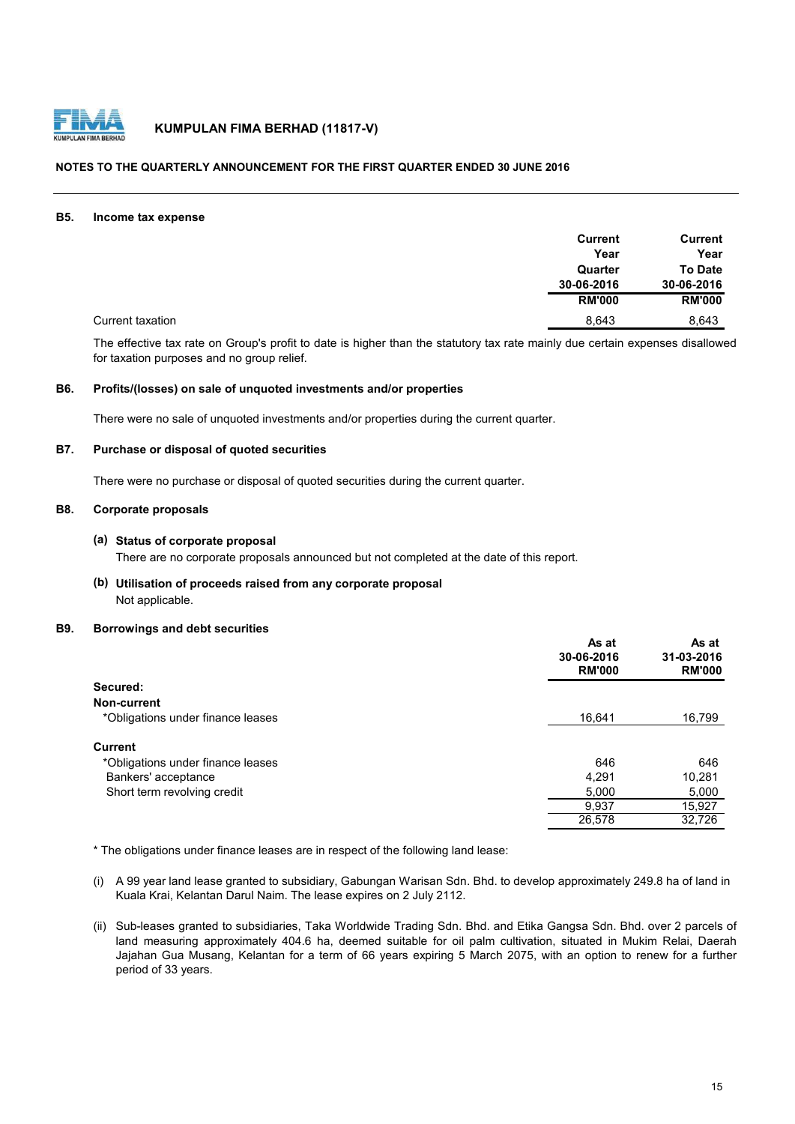

# **NOTES TO THE QUARTERLY ANNOUNCEMENT FOR THE FIRST QUARTER ENDED 30 JUNE 2016**

#### **B5. Income tax expense**

|                  | <b>Current</b> | Current        |
|------------------|----------------|----------------|
|                  | Year           | Year           |
|                  | Quarter        | <b>To Date</b> |
|                  | 30-06-2016     | 30-06-2016     |
|                  | <b>RM'000</b>  | <b>RM'000</b>  |
| Current taxation | 8,643          | 8,643          |

The effective tax rate on Group's profit to date is higher than the statutory tax rate mainly due certain expenses disallowed for taxation purposes and no group relief.

# **B6. Profits/(losses) on sale of unquoted investments and/or properties**

There were no sale of unquoted investments and/or properties during the current quarter.

# **B7. Purchase or disposal of quoted securities**

There were no purchase or disposal of quoted securities during the current quarter.

# **B8. Corporate proposals**

# **(a) Status of corporate proposal**

There are no corporate proposals announced but not completed at the date of this report.

# **(b) Utilisation of proceeds raised from any corporate proposal** Not applicable.

#### **B9. Borrowings and debt securities**

|                                   | As at<br>30-06-2016<br><b>RM'000</b> | As at<br>31-03-2016<br><b>RM'000</b> |
|-----------------------------------|--------------------------------------|--------------------------------------|
| Secured:                          |                                      |                                      |
| Non-current                       |                                      |                                      |
| *Obligations under finance leases | 16,641                               | 16,799                               |
| Current                           |                                      |                                      |
| *Obligations under finance leases | 646                                  | 646                                  |
| Bankers' acceptance               | 4,291                                | 10,281                               |
| Short term revolving credit       | 5,000                                | 5,000                                |
|                                   | 9,937                                | 15,927                               |
|                                   | 26,578                               | 32,726                               |

\* The obligations under finance leases are in respect of the following land lease:

- (i) A 99 year land lease granted to subsidiary, Gabungan Warisan Sdn. Bhd. to develop approximately 249.8 ha of land in Kuala Krai, Kelantan Darul Naim. The lease expires on 2 July 2112.
- (ii) Sub-leases granted to subsidiaries, Taka Worldwide Trading Sdn. Bhd. and Etika Gangsa Sdn. Bhd. over 2 parcels of land measuring approximately 404.6 ha, deemed suitable for oil palm cultivation, situated in Mukim Relai, Daerah Jajahan Gua Musang, Kelantan for a term of 66 years expiring 5 March 2075, with an option to renew for a further period of 33 years.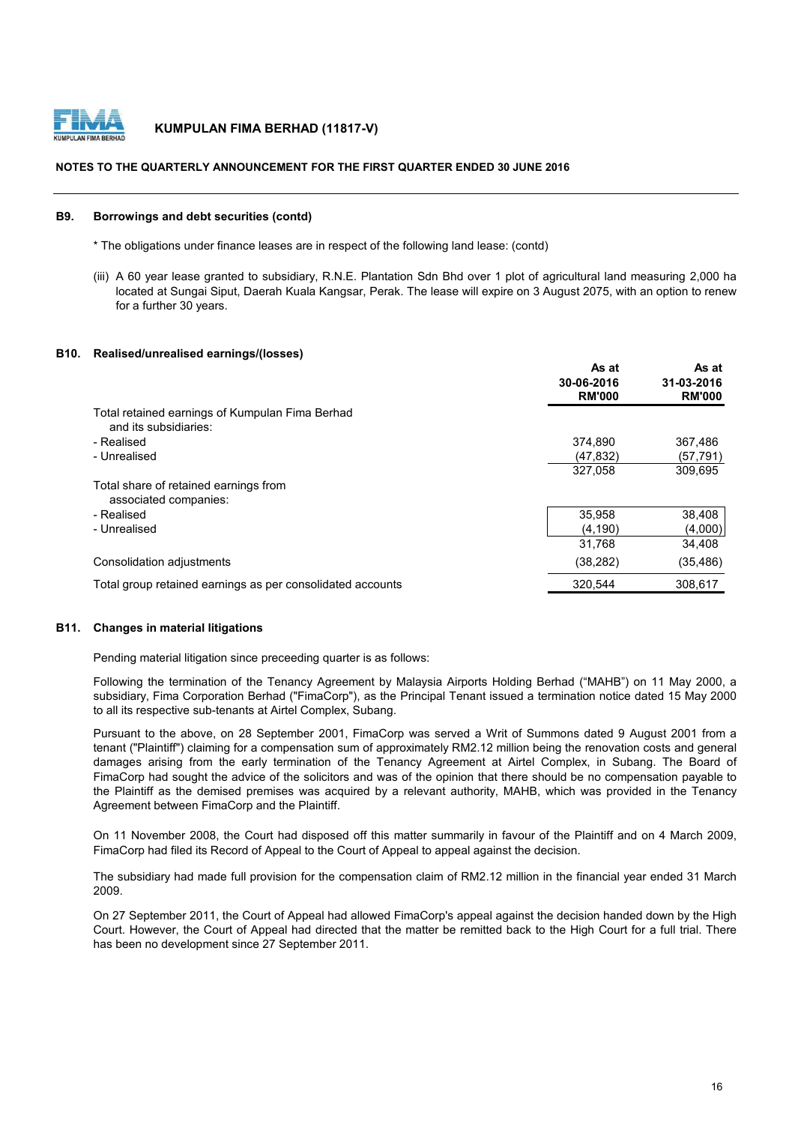

# **NOTES TO THE QUARTERLY ANNOUNCEMENT FOR THE FIRST QUARTER ENDED 30 JUNE 2016**

#### **B9. Borrowings and debt securities (contd)**

- \* The obligations under finance leases are in respect of the following land lease: (contd)
- (iii) A 60 year lease granted to subsidiary, R.N.E. Plantation Sdn Bhd over 1 plot of agricultural land measuring 2,000 ha located at Sungai Siput, Daerah Kuala Kangsar, Perak. The lease will expire on 3 August 2075, with an option to renew for a further 30 years.

#### **B10. Realised/unrealised earnings/(losses)**

|                                                                          | As at<br>30-06-2016<br><b>RM'000</b> | As at<br>31-03-2016<br><b>RM'000</b> |
|--------------------------------------------------------------------------|--------------------------------------|--------------------------------------|
| Total retained earnings of Kumpulan Fima Berhad<br>and its subsidiaries: |                                      |                                      |
| - Realised                                                               | 374.890                              | 367.486                              |
| - Unrealised                                                             | (47, 832)                            | (57, 791)                            |
|                                                                          | 327,058                              | 309.695                              |
| Total share of retained earnings from<br>associated companies:           |                                      |                                      |
| - Realised                                                               | 35,958                               | 38,408                               |
| - Unrealised                                                             | (4, 190)                             | (4,000)                              |
|                                                                          | 31,768                               | 34,408                               |
| Consolidation adjustments                                                | (38, 282)                            | (35, 486)                            |
| Total group retained earnings as per consolidated accounts               | 320,544                              | 308,617                              |

# **B11. Changes in material litigations**

Pending material litigation since preceeding quarter is as follows:

Following the termination of the Tenancy Agreement by Malaysia Airports Holding Berhad ("MAHB") on 11 May 2000, a subsidiary, Fima Corporation Berhad ("FimaCorp"), as the Principal Tenant issued a termination notice dated 15 May 2000 to all its respective sub-tenants at Airtel Complex, Subang.

Pursuant to the above, on 28 September 2001, FimaCorp was served a Writ of Summons dated 9 August 2001 from a tenant ("Plaintiff") claiming for a compensation sum of approximately RM2.12 million being the renovation costs and general damages arising from the early termination of the Tenancy Agreement at Airtel Complex, in Subang. The Board of FimaCorp had sought the advice of the solicitors and was of the opinion that there should be no compensation payable to the Plaintiff as the demised premises was acquired by a relevant authority, MAHB, which was provided in the Tenancy Agreement between FimaCorp and the Plaintiff.

On 11 November 2008, the Court had disposed off this matter summarily in favour of the Plaintiff and on 4 March 2009, FimaCorp had filed its Record of Appeal to the Court of Appeal to appeal against the decision.

The subsidiary had made full provision for the compensation claim of RM2.12 million in the financial year ended 31 March 2009.

On 27 September 2011, the Court of Appeal had allowed FimaCorp's appeal against the decision handed down by the High Court. However, the Court of Appeal had directed that the matter be remitted back to the High Court for a full trial. There has been no development since 27 September 2011.